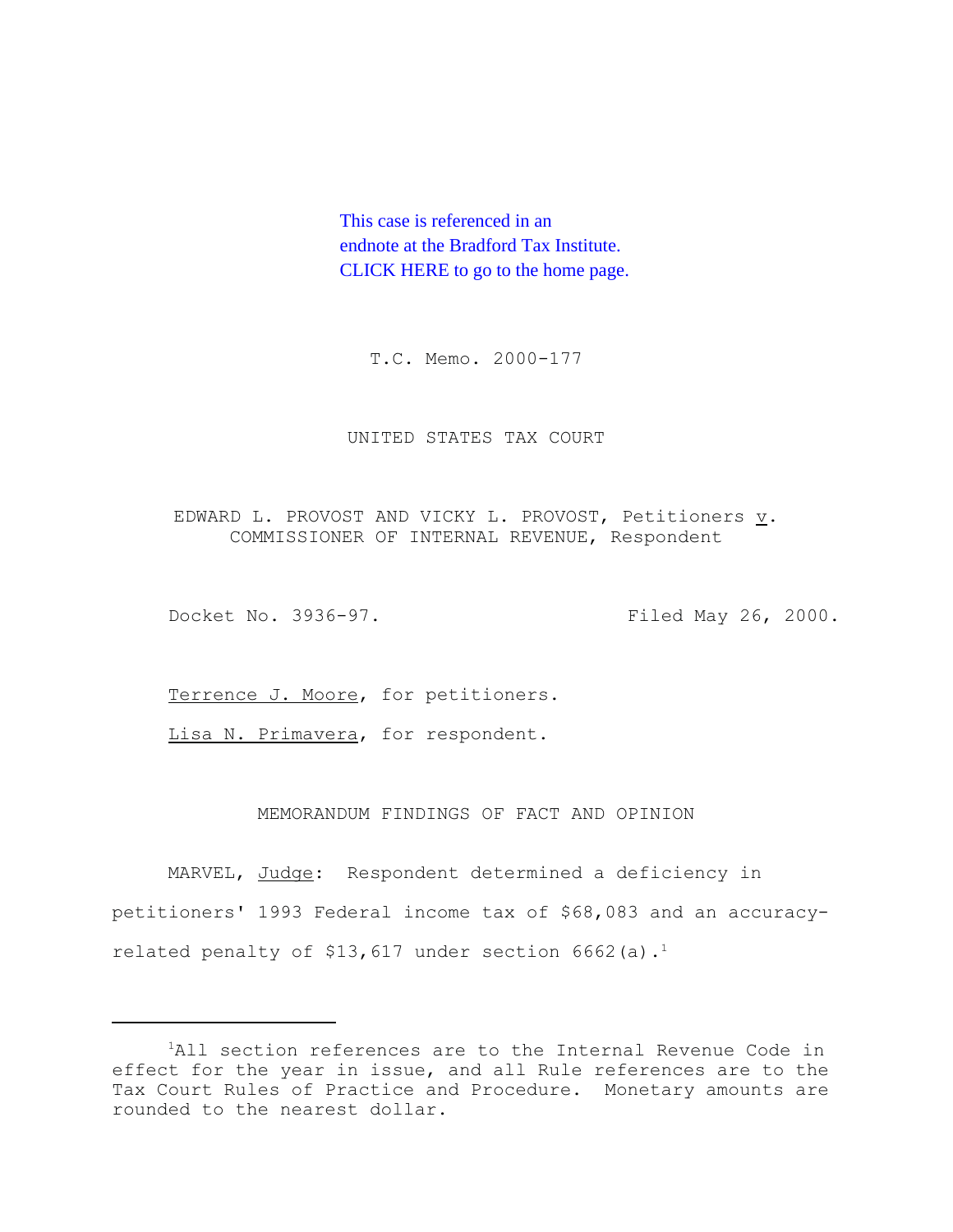This case is referenced in an endnote at the Bradford Tax Institute. [CLICK HERE to go to the home page.](http://bradfordtaxinstitute.com/index1.aspx)

T.C. Memo. 2000-177

## UNITED STATES TAX COURT

EDWARD L. PROVOST AND VICKY L. PROVOST, Petitioners v. COMMISSIONER OF INTERNAL REVENUE, Respondent

Docket No. 3936-97. Filed May 26, 2000.

Terrence J. Moore, for petitioners.

Lisa N. Primavera, for respondent.

# MEMORANDUM FINDINGS OF FACT AND OPINION

MARVEL, Judge: Respondent determined a deficiency in petitioners' 1993 Federal income tax of \$68,083 and an accuracyrelated penalty of \$13,617 under section  $6662$  (a).<sup>1</sup>

<sup>&</sup>lt;sup>1</sup>All section references are to the Internal Revenue Code in effect for the year in issue, and all Rule references are to the Tax Court Rules of Practice and Procedure. Monetary amounts are rounded to the nearest dollar.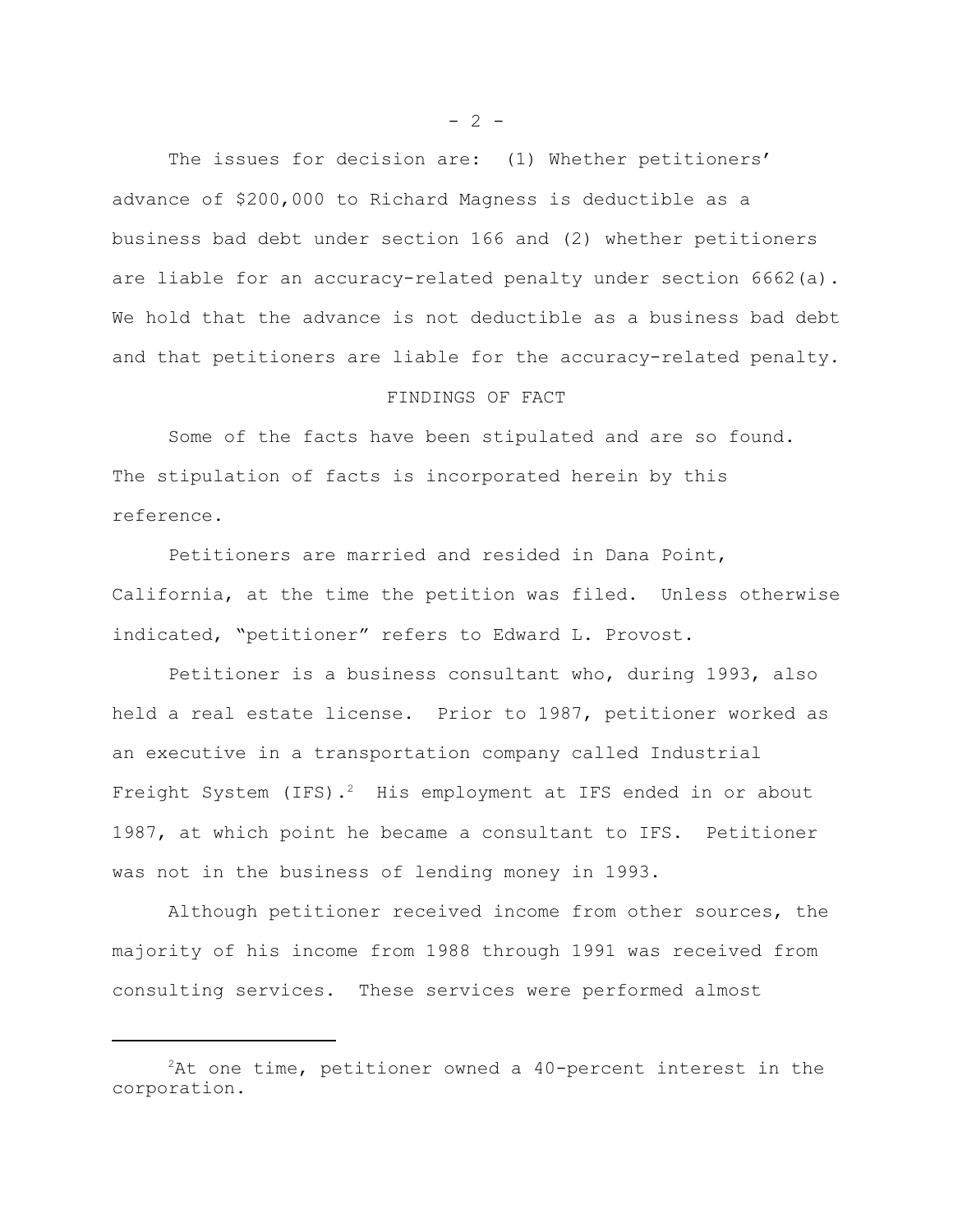The issues for decision are: (1) Whether petitioners' advance of \$200,000 to Richard Magness is deductible as a business bad debt under section 166 and (2) whether petitioners are liable for an accuracy-related penalty under section 6662(a). We hold that the advance is not deductible as a business bad debt and that petitioners are liable for the accuracy-related penalty.

# FINDINGS OF FACT

Some of the facts have been stipulated and are so found. The stipulation of facts is incorporated herein by this reference.

Petitioners are married and resided in Dana Point, California, at the time the petition was filed. Unless otherwise indicated, "petitioner" refers to Edward L. Provost.

Petitioner is a business consultant who, during 1993, also held a real estate license. Prior to 1987, petitioner worked as an executive in a transportation company called Industrial Freight System (IFS).<sup>2</sup> His employment at IFS ended in or about 1987, at which point he became a consultant to IFS. Petitioner was not in the business of lending money in 1993.

Although petitioner received income from other sources, the majority of his income from 1988 through 1991 was received from consulting services. These services were performed almost

 $- 2 -$ 

 ${}^{2}$ At one time, petitioner owned a 40-percent interest in the corporation.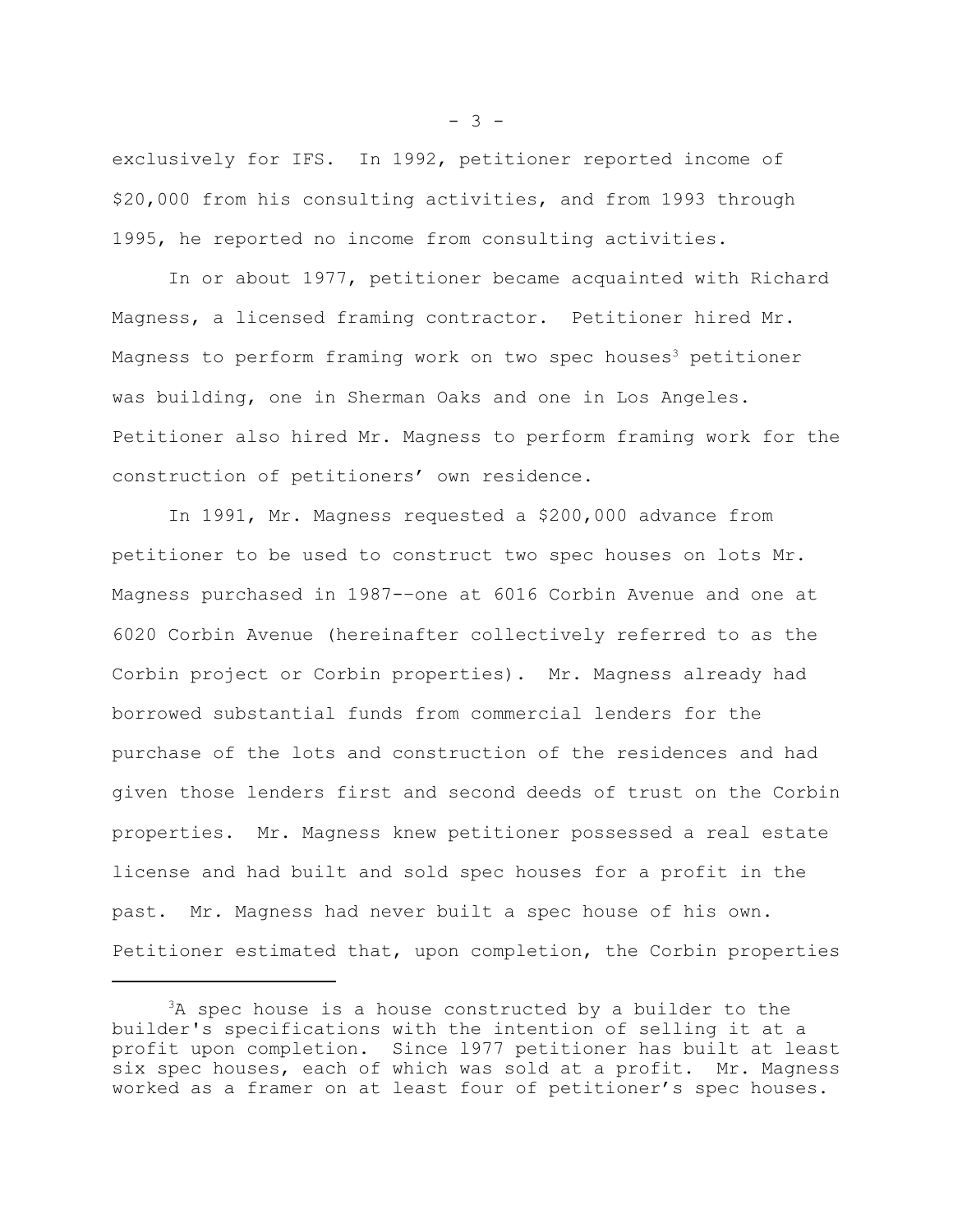exclusively for IFS. In 1992, petitioner reported income of \$20,000 from his consulting activities, and from 1993 through 1995, he reported no income from consulting activities.

In or about 1977, petitioner became acquainted with Richard Magness, a licensed framing contractor. Petitioner hired Mr. Magness to perform framing work on two spec houses<sup>3</sup> petitioner was building, one in Sherman Oaks and one in Los Angeles. Petitioner also hired Mr. Magness to perform framing work for the construction of petitioners' own residence.

In 1991, Mr. Magness requested a \$200,000 advance from petitioner to be used to construct two spec houses on lots Mr. Magness purchased in 1987-–one at 6016 Corbin Avenue and one at 6020 Corbin Avenue (hereinafter collectively referred to as the Corbin project or Corbin properties). Mr. Magness already had borrowed substantial funds from commercial lenders for the purchase of the lots and construction of the residences and had given those lenders first and second deeds of trust on the Corbin properties. Mr. Magness knew petitioner possessed a real estate license and had built and sold spec houses for a profit in the past. Mr. Magness had never built a spec house of his own. Petitioner estimated that, upon completion, the Corbin properties

 $- 3 -$ 

 $3A$  spec house is a house constructed by a builder to the builder's specifications with the intention of selling it at a profit upon completion. Since l977 petitioner has built at least six spec houses, each of which was sold at a profit. Mr. Magness worked as a framer on at least four of petitioner's spec houses.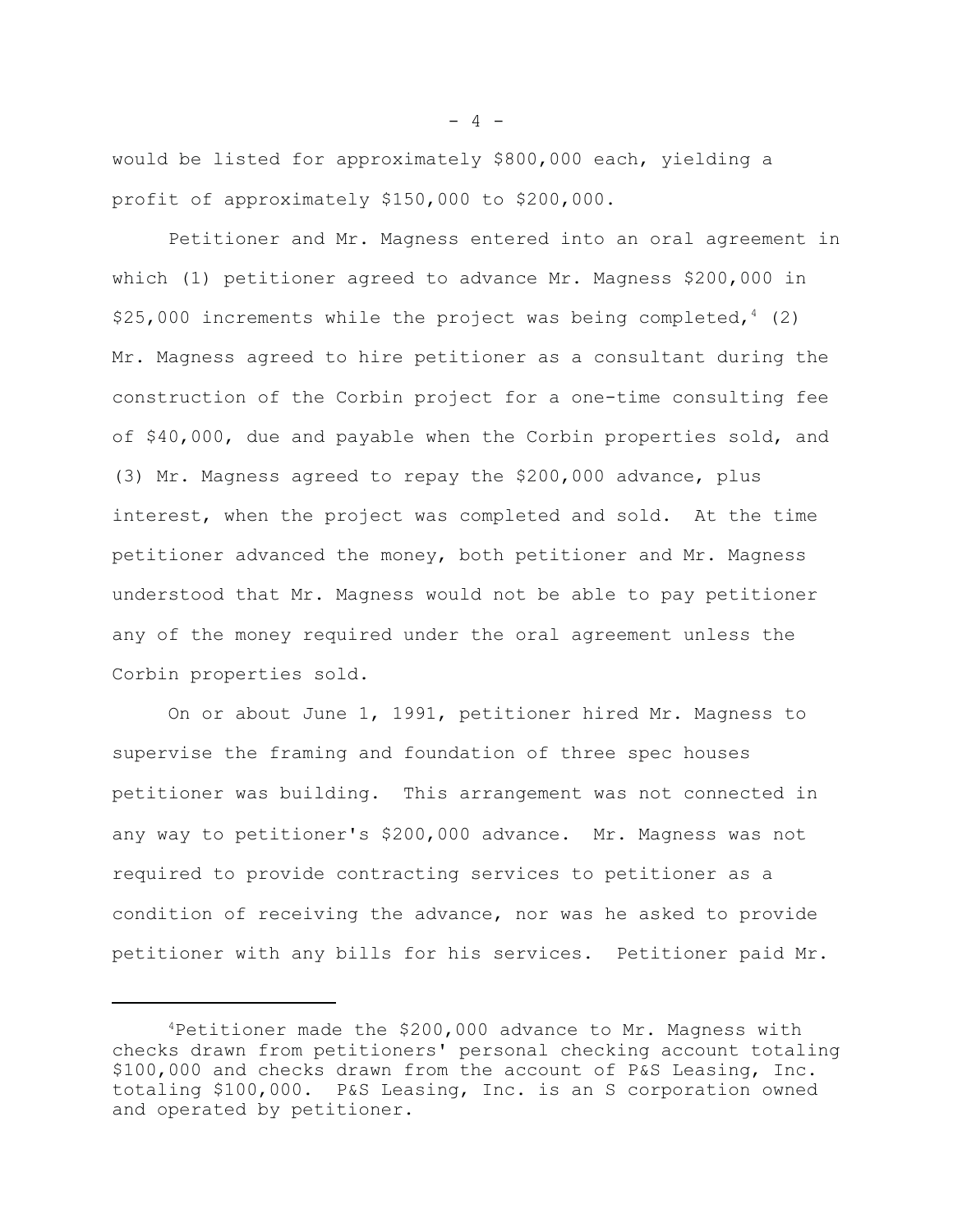would be listed for approximately \$800,000 each, yielding a profit of approximately \$150,000 to \$200,000.

Petitioner and Mr. Magness entered into an oral agreement in which (1) petitioner agreed to advance Mr. Magness \$200,000 in \$25,000 increments while the project was being completed,  $4(2)$ Mr. Magness agreed to hire petitioner as a consultant during the construction of the Corbin project for a one-time consulting fee of \$40,000, due and payable when the Corbin properties sold, and (3) Mr. Magness agreed to repay the \$200,000 advance, plus interest, when the project was completed and sold. At the time petitioner advanced the money, both petitioner and Mr. Magness understood that Mr. Magness would not be able to pay petitioner any of the money required under the oral agreement unless the Corbin properties sold.

On or about June 1, 1991, petitioner hired Mr. Magness to supervise the framing and foundation of three spec houses petitioner was building. This arrangement was not connected in any way to petitioner's \$200,000 advance. Mr. Magness was not required to provide contracting services to petitioner as a condition of receiving the advance, nor was he asked to provide petitioner with any bills for his services. Petitioner paid Mr.

 $- 4 -$ 

 $4$ Petitioner made the \$200,000 advance to Mr. Magness with checks drawn from petitioners' personal checking account totaling \$100,000 and checks drawn from the account of P&S Leasing, Inc. totaling \$100,000. P&S Leasing, Inc. is an S corporation owned and operated by petitioner.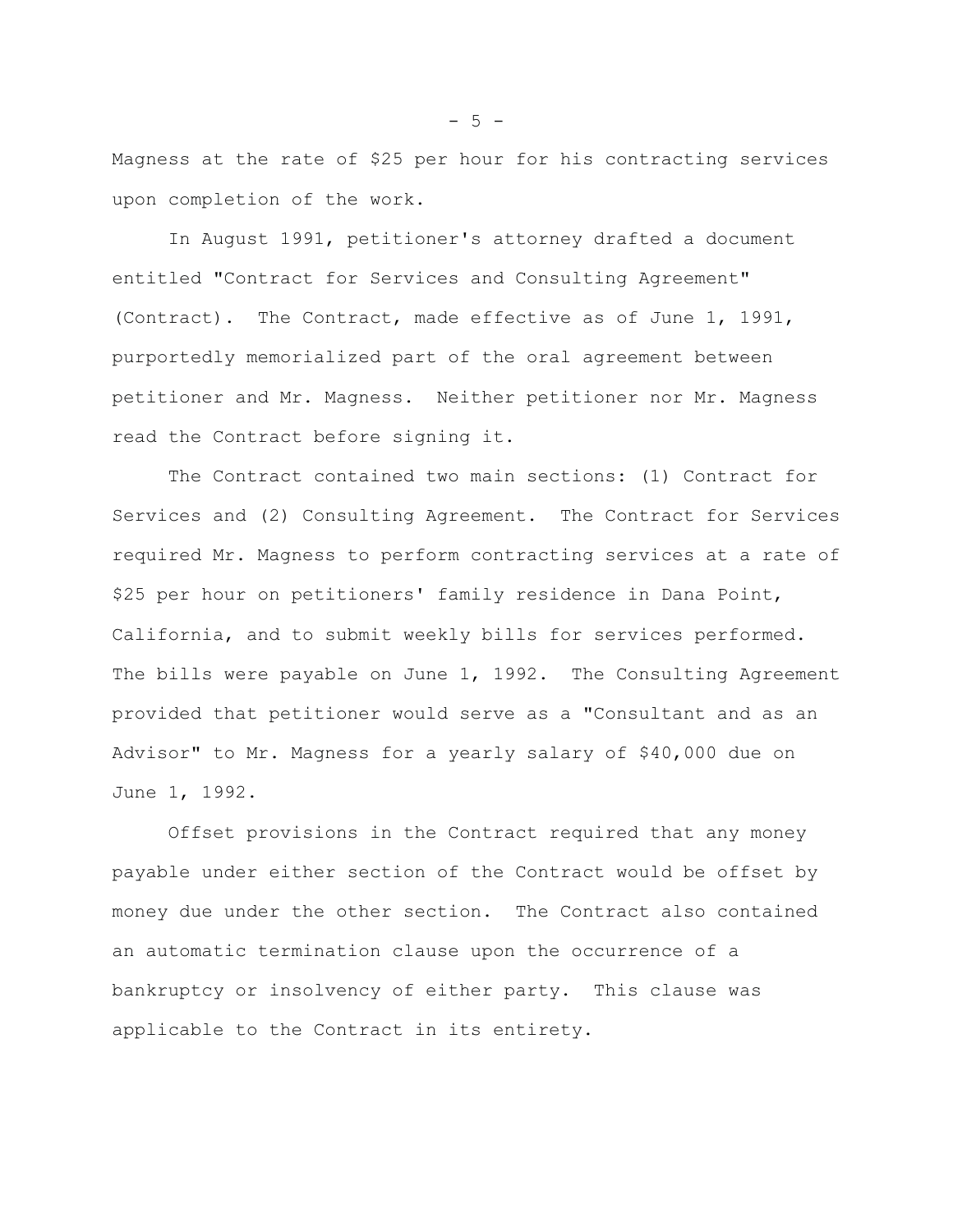Magness at the rate of \$25 per hour for his contracting services upon completion of the work.

In August 1991, petitioner's attorney drafted a document entitled "Contract for Services and Consulting Agreement" (Contract). The Contract, made effective as of June 1, 1991, purportedly memorialized part of the oral agreement between petitioner and Mr. Magness. Neither petitioner nor Mr. Magness read the Contract before signing it.

The Contract contained two main sections: (1) Contract for Services and (2) Consulting Agreement. The Contract for Services required Mr. Magness to perform contracting services at a rate of \$25 per hour on petitioners' family residence in Dana Point, California, and to submit weekly bills for services performed. The bills were payable on June 1, 1992. The Consulting Agreement provided that petitioner would serve as a "Consultant and as an Advisor" to Mr. Magness for a yearly salary of \$40,000 due on June 1, 1992.

Offset provisions in the Contract required that any money payable under either section of the Contract would be offset by money due under the other section. The Contract also contained an automatic termination clause upon the occurrence of a bankruptcy or insolvency of either party. This clause was applicable to the Contract in its entirety.

 $-5 -$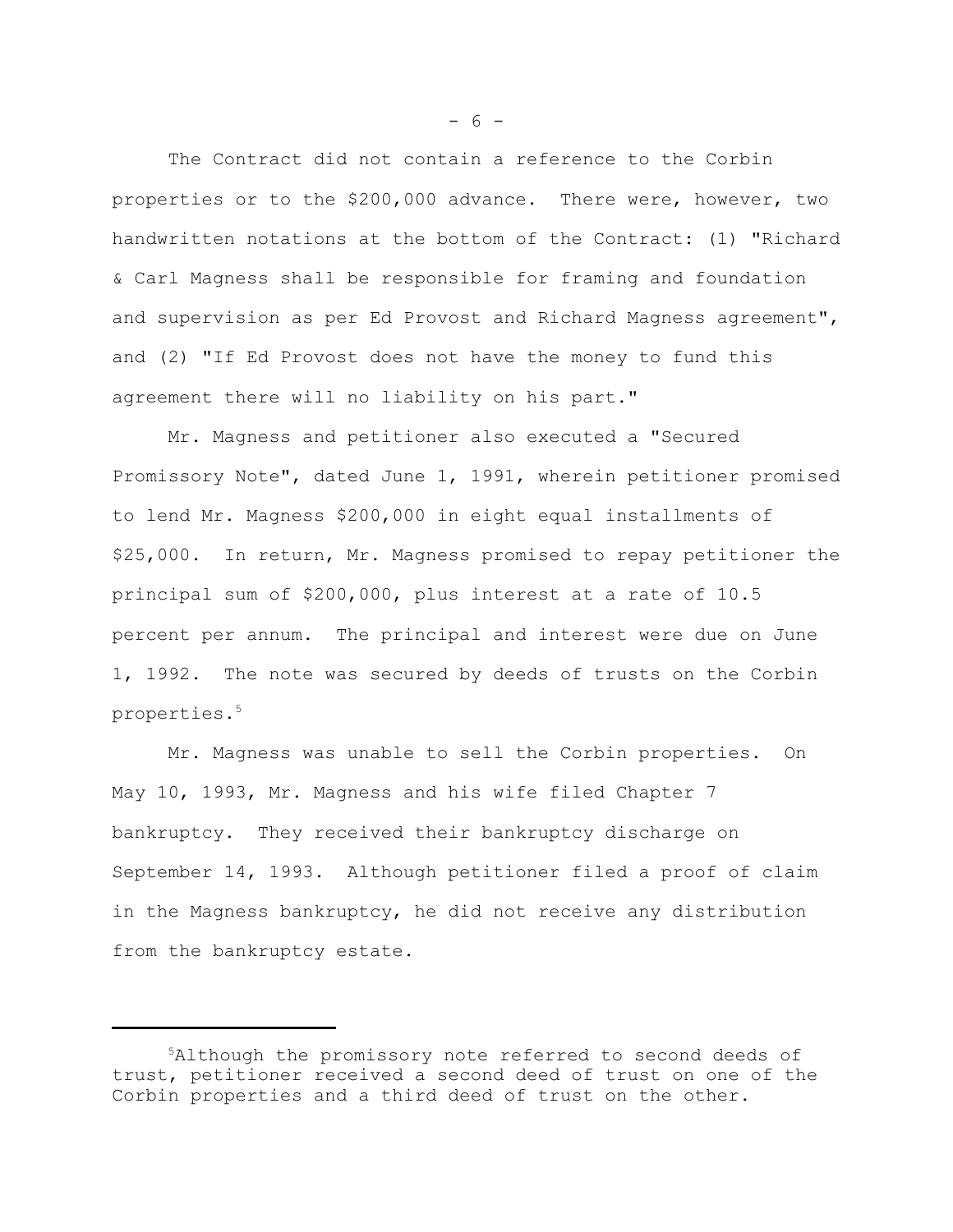The Contract did not contain a reference to the Corbin properties or to the \$200,000 advance. There were, however, two handwritten notations at the bottom of the Contract: (1) "Richard & Carl Magness shall be responsible for framing and foundation and supervision as per Ed Provost and Richard Magness agreement", and (2) "If Ed Provost does not have the money to fund this agreement there will no liability on his part."

Mr. Magness and petitioner also executed a "Secured Promissory Note", dated June 1, 1991, wherein petitioner promised to lend Mr. Magness \$200,000 in eight equal installments of \$25,000. In return, Mr. Magness promised to repay petitioner the principal sum of \$200,000, plus interest at a rate of 10.5 percent per annum. The principal and interest were due on June 1, 1992. The note was secured by deeds of trusts on the Corbin properties.5

Mr. Magness was unable to sell the Corbin properties. On May 10, 1993, Mr. Magness and his wife filed Chapter 7 bankruptcy. They received their bankruptcy discharge on September 14, 1993. Although petitioner filed a proof of claim in the Magness bankruptcy, he did not receive any distribution from the bankruptcy estate.

 $- 6 -$ 

<sup>5</sup>Although the promissory note referred to second deeds of trust, petitioner received a second deed of trust on one of the Corbin properties and a third deed of trust on the other.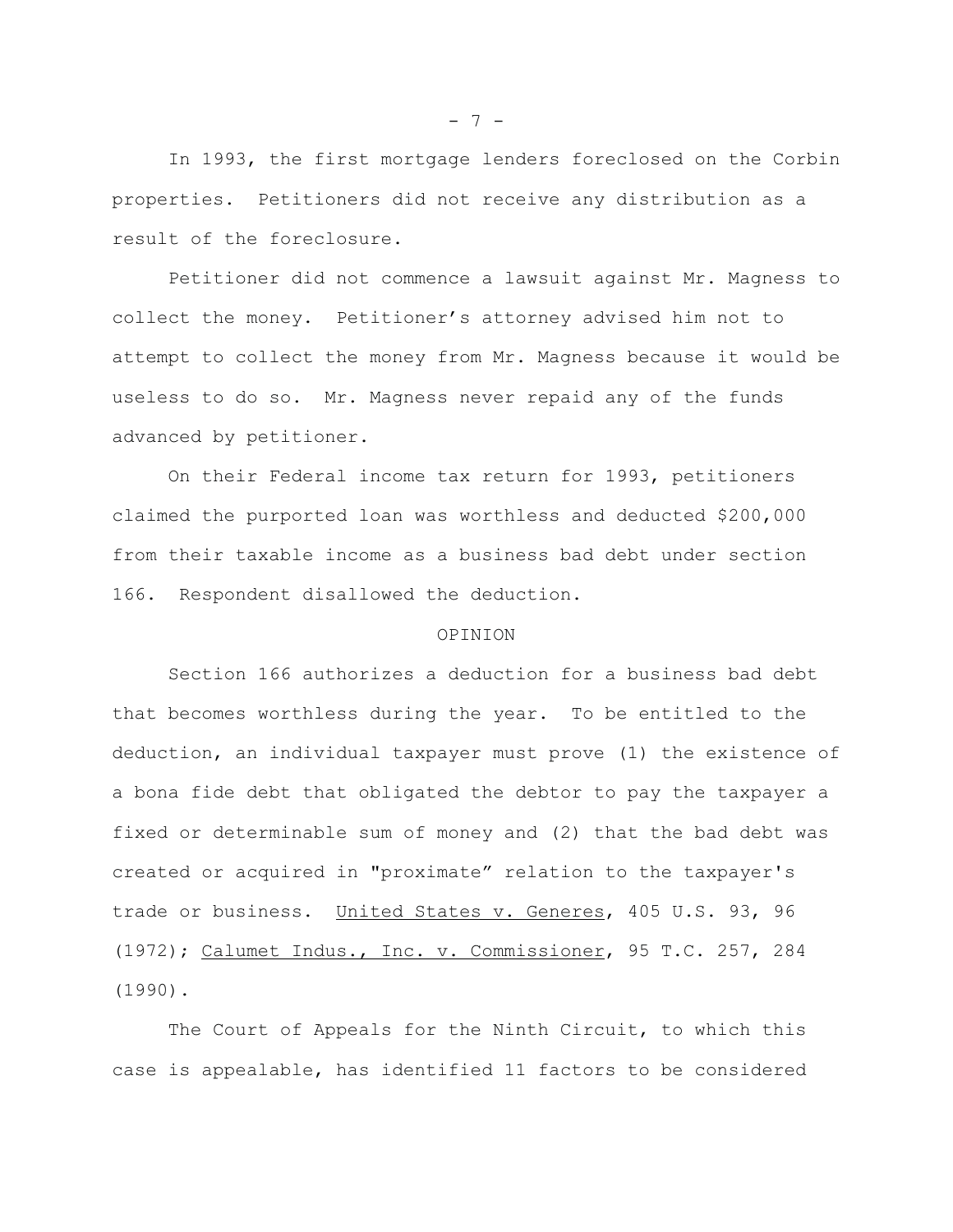In 1993, the first mortgage lenders foreclosed on the Corbin properties. Petitioners did not receive any distribution as a result of the foreclosure.

Petitioner did not commence a lawsuit against Mr. Magness to collect the money. Petitioner's attorney advised him not to attempt to collect the money from Mr. Magness because it would be useless to do so. Mr. Magness never repaid any of the funds advanced by petitioner.

On their Federal income tax return for 1993, petitioners claimed the purported loan was worthless and deducted \$200,000 from their taxable income as a business bad debt under section 166. Respondent disallowed the deduction.

# OPINION

Section 166 authorizes a deduction for a business bad debt that becomes worthless during the year. To be entitled to the deduction, an individual taxpayer must prove (1) the existence of a bona fide debt that obligated the debtor to pay the taxpayer a fixed or determinable sum of money and (2) that the bad debt was created or acquired in "proximate" relation to the taxpayer's trade or business. United States v. Generes, 405 U.S. 93, 96 (1972); Calumet Indus., Inc. v. Commissioner, 95 T.C. 257, 284 (1990).

The Court of Appeals for the Ninth Circuit, to which this case is appealable, has identified 11 factors to be considered

 $- 7 -$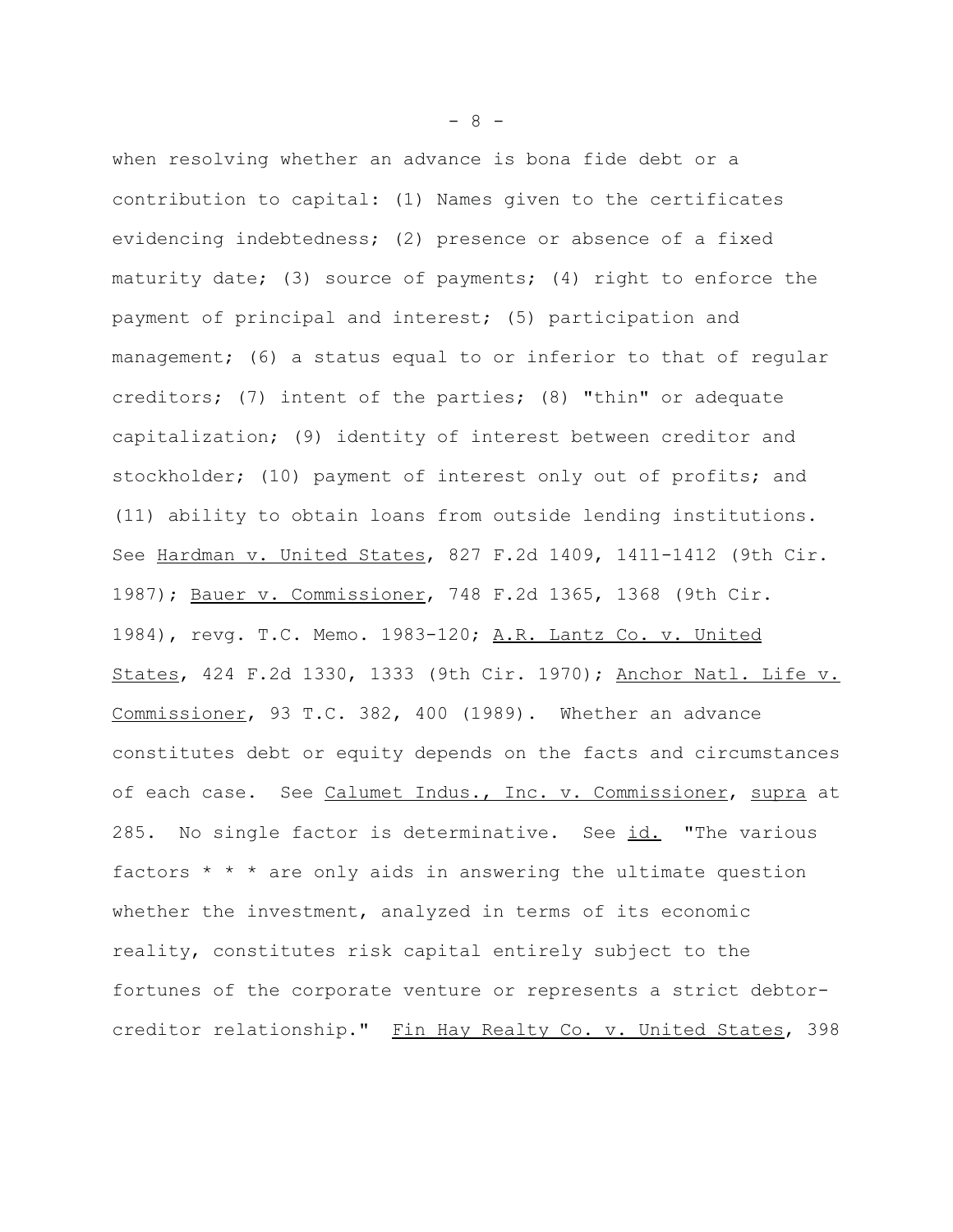when resolving whether an advance is bona fide debt or a contribution to capital: (1) Names given to the certificates evidencing indebtedness; (2) presence or absence of a fixed maturity date; (3) source of payments; (4) right to enforce the payment of principal and interest; (5) participation and management; (6) a status equal to or inferior to that of regular creditors; (7) intent of the parties; (8) "thin" or adequate capitalization; (9) identity of interest between creditor and stockholder; (10) payment of interest only out of profits; and (11) ability to obtain loans from outside lending institutions. See Hardman v. United States, 827 F.2d 1409, 1411-1412 (9th Cir. 1987); Bauer v. Commissioner, 748 F.2d 1365, 1368 (9th Cir. 1984), revg. T.C. Memo. 1983-120; A.R. Lantz Co. v. United States, 424 F.2d 1330, 1333 (9th Cir. 1970); Anchor Natl. Life v. Commissioner, 93 T.C. 382, 400 (1989). Whether an advance constitutes debt or equity depends on the facts and circumstances of each case. See Calumet Indus., Inc. v. Commissioner, supra at 285. No single factor is determinative. See id. "The various factors \* \* \* are only aids in answering the ultimate question whether the investment, analyzed in terms of its economic reality, constitutes risk capital entirely subject to the fortunes of the corporate venture or represents a strict debtorcreditor relationship." Fin Hay Realty Co. v. United States, 398

- 8 -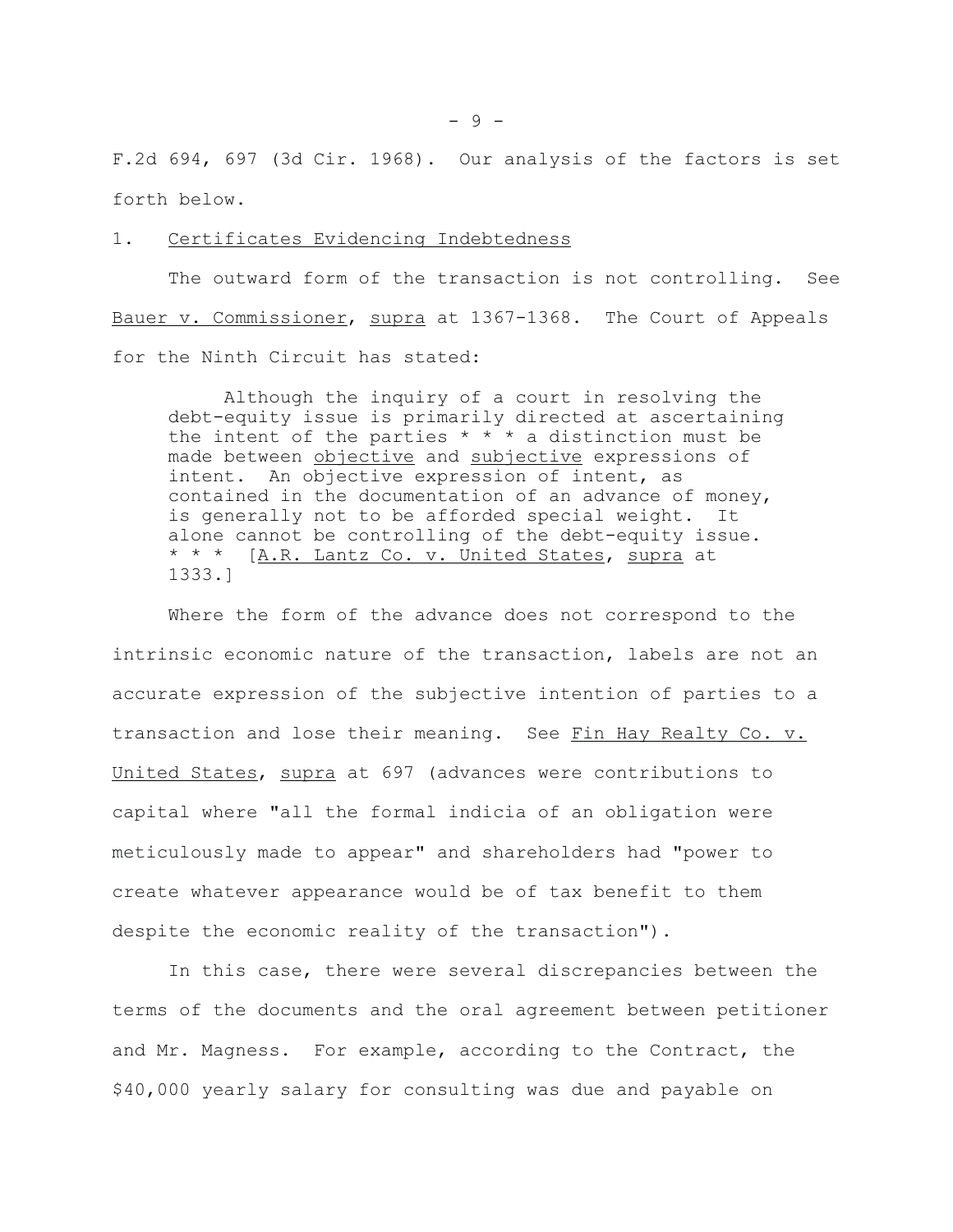F.2d 694, 697 (3d Cir. 1968). Our analysis of the factors is set forth below.

### 1. Certificates Evidencing Indebtedness

The outward form of the transaction is not controlling. See Bauer v. Commissioner, supra at 1367-1368. The Court of Appeals for the Ninth Circuit has stated:

Although the inquiry of a court in resolving the debt-equity issue is primarily directed at ascertaining the intent of the parties  $* * * a$  distinction must be made between objective and subjective expressions of intent. An objective expression of intent, as contained in the documentation of an advance of money, is generally not to be afforded special weight. It alone cannot be controlling of the debt-equity issue. \* \* \* [A.R. Lantz Co. v. United States, supra at 1333.]

Where the form of the advance does not correspond to the intrinsic economic nature of the transaction, labels are not an accurate expression of the subjective intention of parties to a transaction and lose their meaning. See Fin Hay Realty Co. v. United States, supra at 697 (advances were contributions to capital where "all the formal indicia of an obligation were meticulously made to appear" and shareholders had "power to create whatever appearance would be of tax benefit to them despite the economic reality of the transaction").

In this case, there were several discrepancies between the terms of the documents and the oral agreement between petitioner and Mr. Magness. For example, according to the Contract, the \$40,000 yearly salary for consulting was due and payable on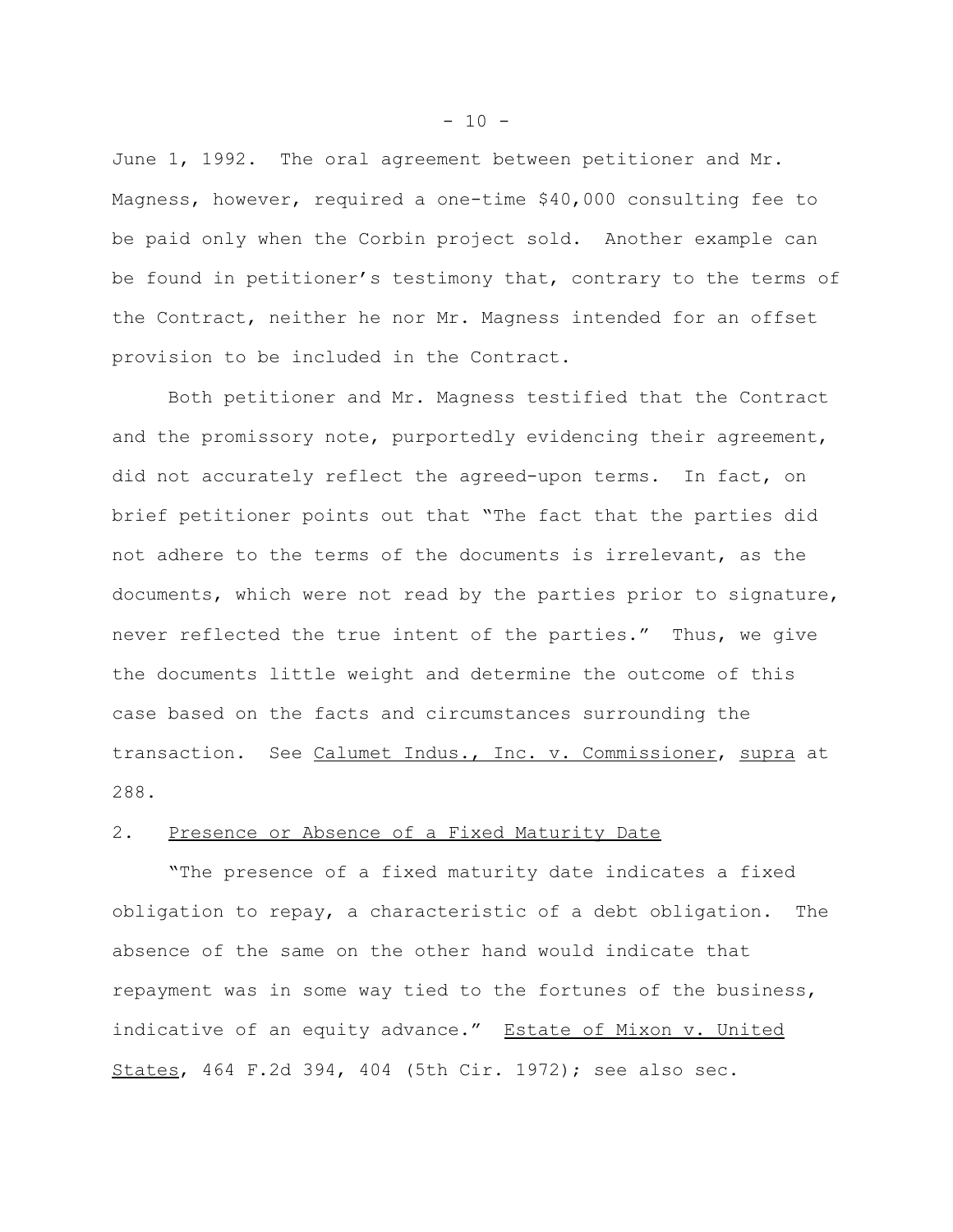June 1, 1992. The oral agreement between petitioner and Mr. Magness, however, required a one-time \$40,000 consulting fee to be paid only when the Corbin project sold. Another example can be found in petitioner's testimony that, contrary to the terms of the Contract, neither he nor Mr. Magness intended for an offset provision to be included in the Contract.

Both petitioner and Mr. Magness testified that the Contract and the promissory note, purportedly evidencing their agreement, did not accurately reflect the agreed-upon terms. In fact, on brief petitioner points out that "The fact that the parties did not adhere to the terms of the documents is irrelevant, as the documents, which were not read by the parties prior to signature, never reflected the true intent of the parties." Thus, we give the documents little weight and determine the outcome of this case based on the facts and circumstances surrounding the transaction. See Calumet Indus., Inc. v. Commissioner, supra at 288.

# 2. Presence or Absence of a Fixed Maturity Date

"The presence of a fixed maturity date indicates a fixed obligation to repay, a characteristic of a debt obligation. The absence of the same on the other hand would indicate that repayment was in some way tied to the fortunes of the business, indicative of an equity advance." Estate of Mixon v. United States, 464 F.2d 394, 404 (5th Cir. 1972); see also sec.

 $- 10 -$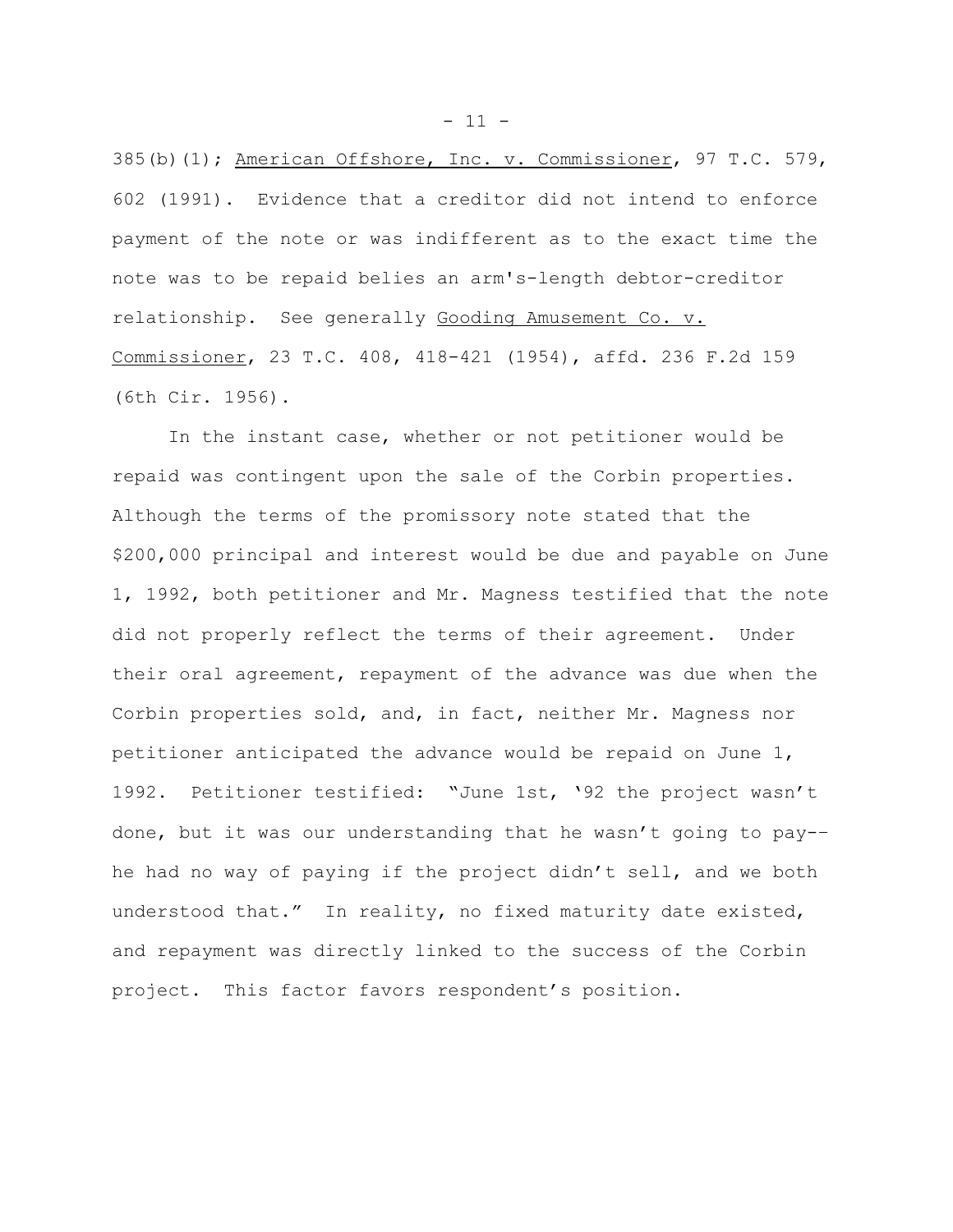385(b)(1); American Offshore, Inc. v. Commissioner, 97 T.C. 579, 602 (1991). Evidence that a creditor did not intend to enforce payment of the note or was indifferent as to the exact time the note was to be repaid belies an arm's-length debtor-creditor relationship. See generally Gooding Amusement Co. v. Commissioner, 23 T.C. 408, 418-421 (1954), affd. 236 F.2d 159 (6th Cir. 1956).

In the instant case, whether or not petitioner would be repaid was contingent upon the sale of the Corbin properties. Although the terms of the promissory note stated that the \$200,000 principal and interest would be due and payable on June 1, 1992, both petitioner and Mr. Magness testified that the note did not properly reflect the terms of their agreement. Under their oral agreement, repayment of the advance was due when the Corbin properties sold, and, in fact, neither Mr. Magness nor petitioner anticipated the advance would be repaid on June 1, 1992. Petitioner testified: "June 1st, '92 the project wasn't done, but it was our understanding that he wasn't going to pay-– he had no way of paying if the project didn't sell, and we both understood that." In reality, no fixed maturity date existed, and repayment was directly linked to the success of the Corbin project. This factor favors respondent's position.

 $- 11 -$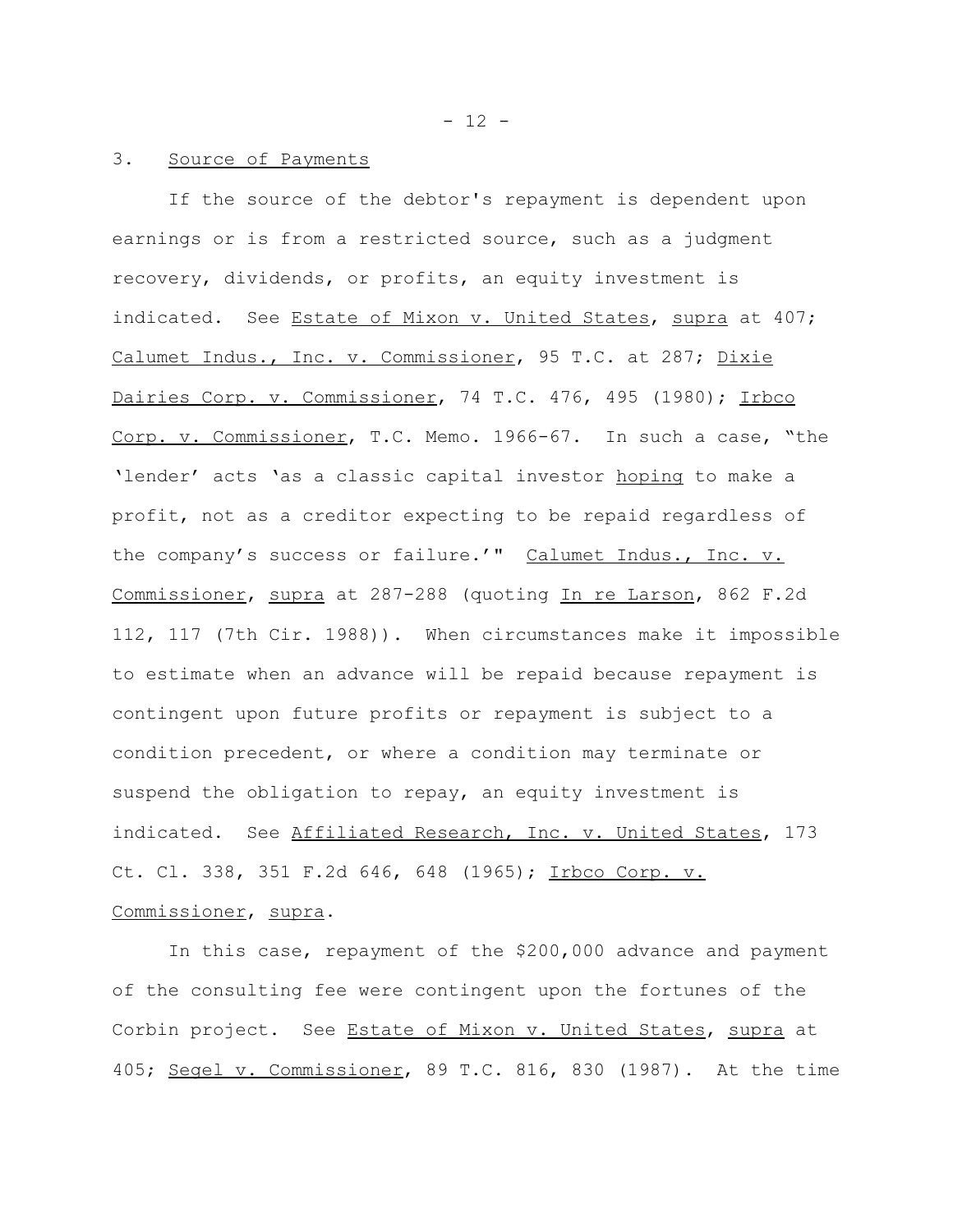#### 3. Source of Payments

If the source of the debtor's repayment is dependent upon earnings or is from a restricted source, such as a judgment recovery, dividends, or profits, an equity investment is indicated. See Estate of Mixon v. United States, supra at 407; Calumet Indus., Inc. v. Commissioner, 95 T.C. at 287; Dixie Dairies Corp. v. Commissioner, 74 T.C. 476, 495 (1980); Irbco Corp. v. Commissioner, T.C. Memo. 1966-67. In such a case, "the 'lender' acts 'as a classic capital investor hoping to make a profit, not as a creditor expecting to be repaid regardless of the company's success or failure.'" Calumet Indus., Inc. v. Commissioner, supra at 287-288 (quoting In re Larson, 862 F.2d 112, 117 (7th Cir. 1988)). When circumstances make it impossible to estimate when an advance will be repaid because repayment is contingent upon future profits or repayment is subject to a condition precedent, or where a condition may terminate or suspend the obligation to repay, an equity investment is indicated. See Affiliated Research, Inc. v. United States, 173 Ct. Cl. 338, 351 F.2d 646, 648 (1965); Irbco Corp. v. Commissioner, supra.

In this case, repayment of the \$200,000 advance and payment of the consulting fee were contingent upon the fortunes of the Corbin project. See Estate of Mixon v. United States, supra at 405; Segel v. Commissioner, 89 T.C. 816, 830 (1987). At the time

 $- 12 -$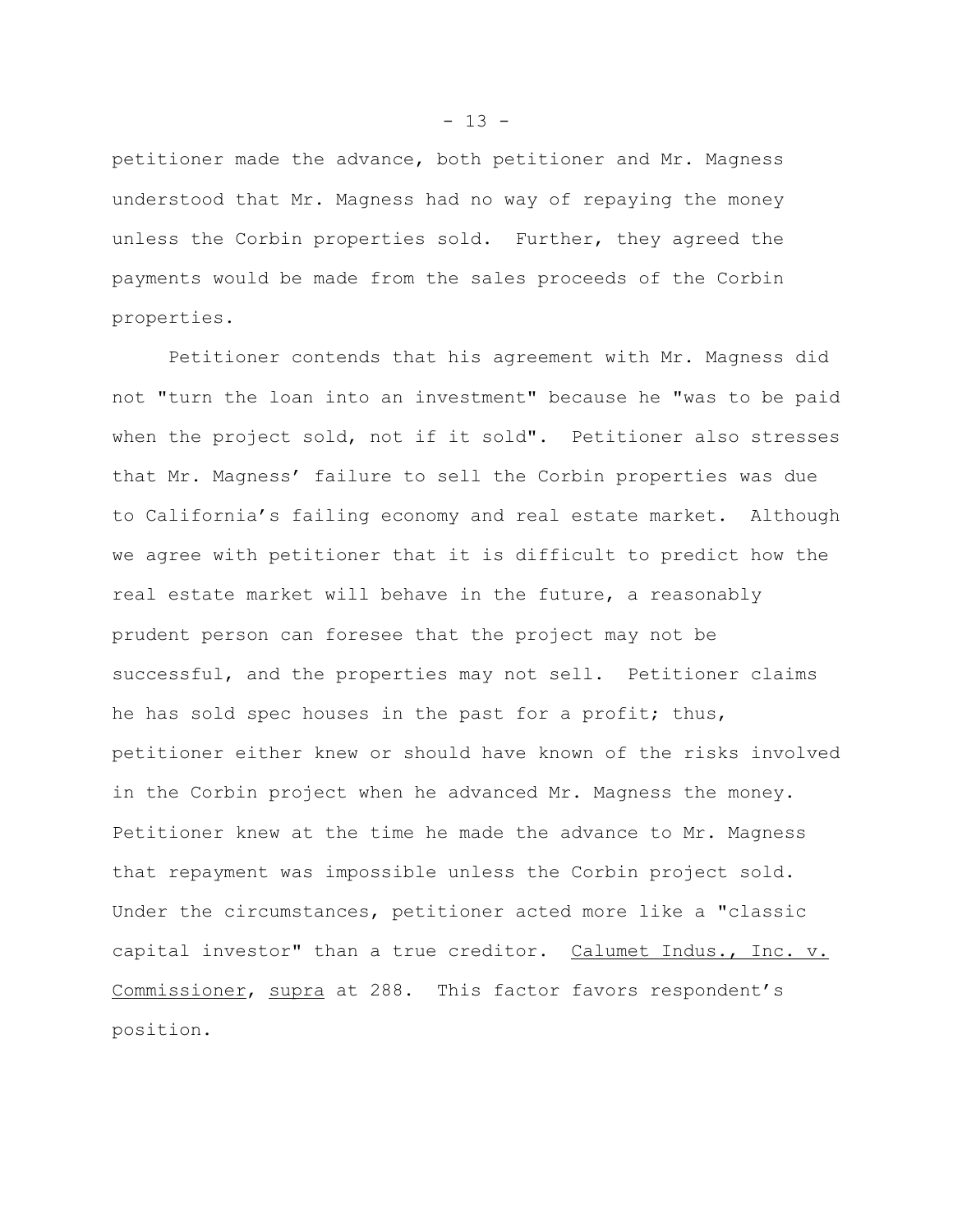petitioner made the advance, both petitioner and Mr. Magness understood that Mr. Magness had no way of repaying the money unless the Corbin properties sold. Further, they agreed the payments would be made from the sales proceeds of the Corbin properties.

Petitioner contends that his agreement with Mr. Magness did not "turn the loan into an investment" because he "was to be paid when the project sold, not if it sold". Petitioner also stresses that Mr. Magness' failure to sell the Corbin properties was due to California's failing economy and real estate market. Although we agree with petitioner that it is difficult to predict how the real estate market will behave in the future, a reasonably prudent person can foresee that the project may not be successful, and the properties may not sell. Petitioner claims he has sold spec houses in the past for a profit; thus, petitioner either knew or should have known of the risks involved in the Corbin project when he advanced Mr. Magness the money. Petitioner knew at the time he made the advance to Mr. Magness that repayment was impossible unless the Corbin project sold. Under the circumstances, petitioner acted more like a "classic capital investor" than a true creditor. Calumet Indus., Inc. v. Commissioner, supra at 288. This factor favors respondent's position.

 $- 13 -$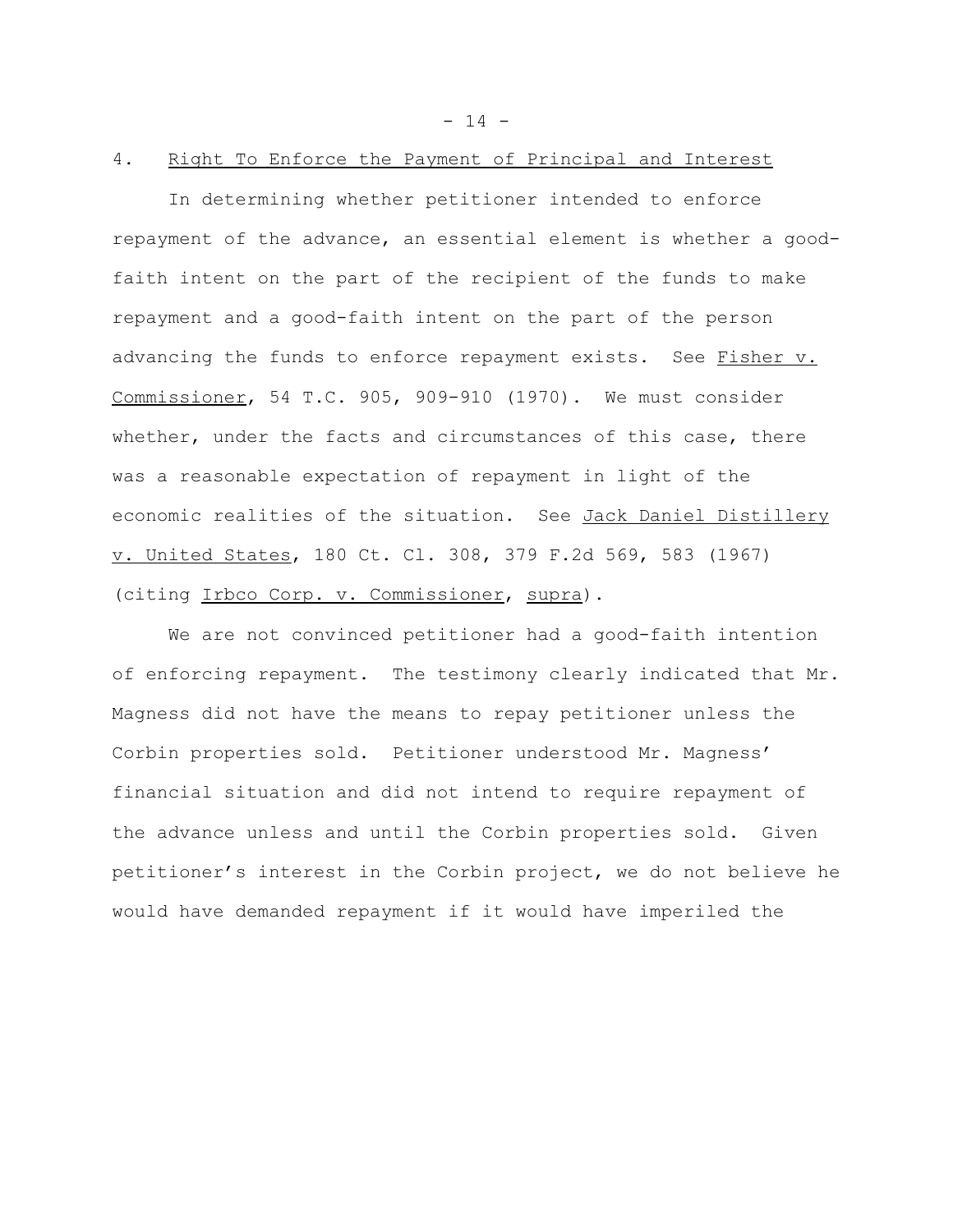$- 14 -$ 

#### 4. Right To Enforce the Payment of Principal and Interest

In determining whether petitioner intended to enforce repayment of the advance, an essential element is whether a goodfaith intent on the part of the recipient of the funds to make repayment and a good-faith intent on the part of the person advancing the funds to enforce repayment exists. See Fisher v. Commissioner, 54 T.C. 905, 909-910 (1970). We must consider whether, under the facts and circumstances of this case, there was a reasonable expectation of repayment in light of the economic realities of the situation. See Jack Daniel Distillery v. United States, 180 Ct. Cl. 308, 379 F.2d 569, 583 (1967) (citing Irbco Corp. v. Commissioner, supra).

We are not convinced petitioner had a good-faith intention of enforcing repayment. The testimony clearly indicated that Mr. Magness did not have the means to repay petitioner unless the Corbin properties sold. Petitioner understood Mr. Magness' financial situation and did not intend to require repayment of the advance unless and until the Corbin properties sold. Given petitioner's interest in the Corbin project, we do not believe he would have demanded repayment if it would have imperiled the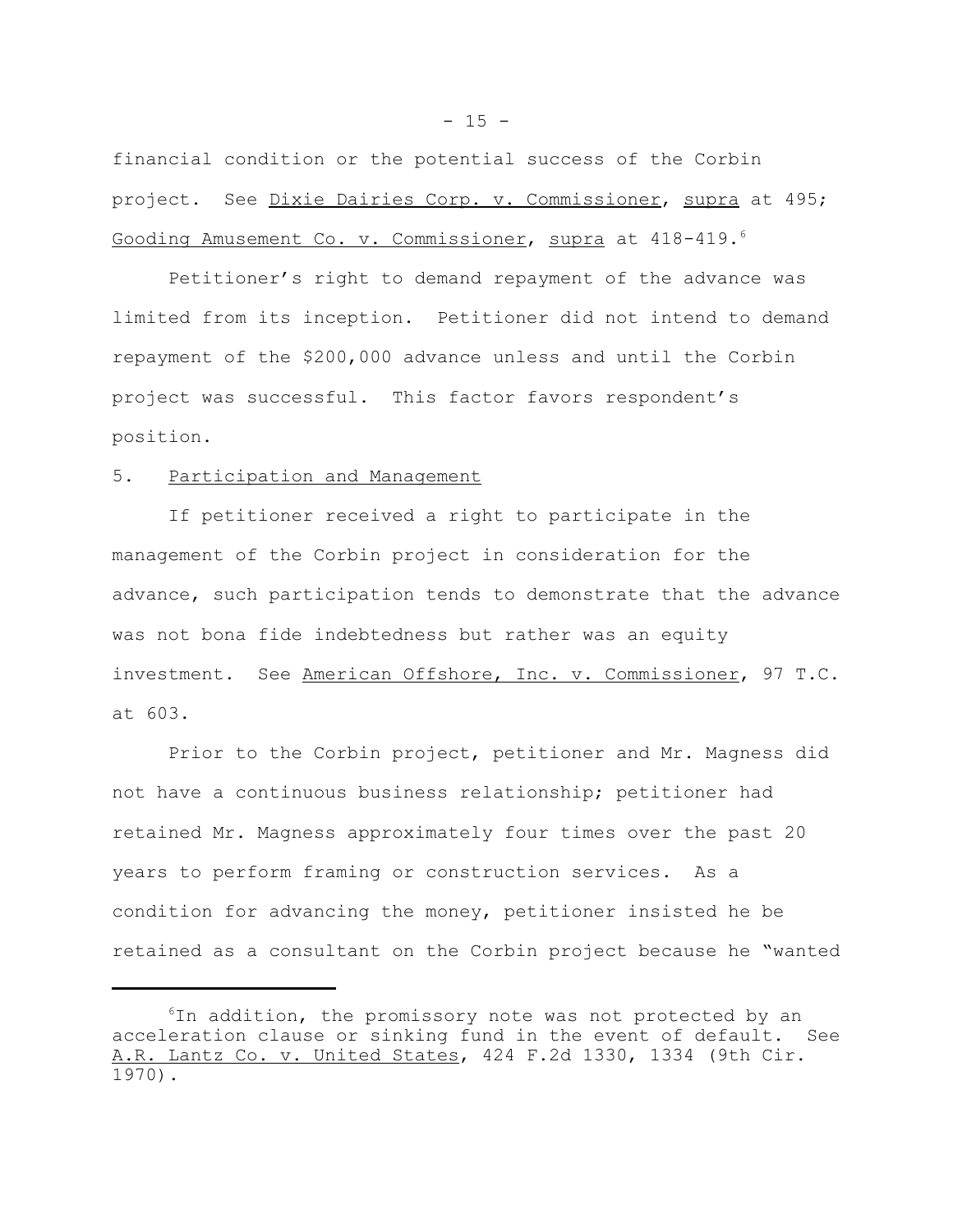financial condition or the potential success of the Corbin project. See Dixie Dairies Corp. v. Commissioner, supra at 495; Gooding Amusement Co. v. Commissioner, supra at 418-419.<sup>6</sup>

Petitioner's right to demand repayment of the advance was limited from its inception. Petitioner did not intend to demand repayment of the \$200,000 advance unless and until the Corbin project was successful. This factor favors respondent's position.

### 5. Participation and Management

If petitioner received a right to participate in the management of the Corbin project in consideration for the advance, such participation tends to demonstrate that the advance was not bona fide indebtedness but rather was an equity investment. See American Offshore, Inc. v. Commissioner, 97 T.C. at 603.

Prior to the Corbin project, petitioner and Mr. Magness did not have a continuous business relationship; petitioner had retained Mr. Magness approximately four times over the past 20 years to perform framing or construction services. As a condition for advancing the money, petitioner insisted he be retained as a consultant on the Corbin project because he "wanted

<sup>&</sup>lt;sup>6</sup>In addition, the promissory note was not protected by an acceleration clause or sinking fund in the event of default. See A.R. Lantz Co. v. United States, 424 F.2d 1330, 1334 (9th Cir. 1970).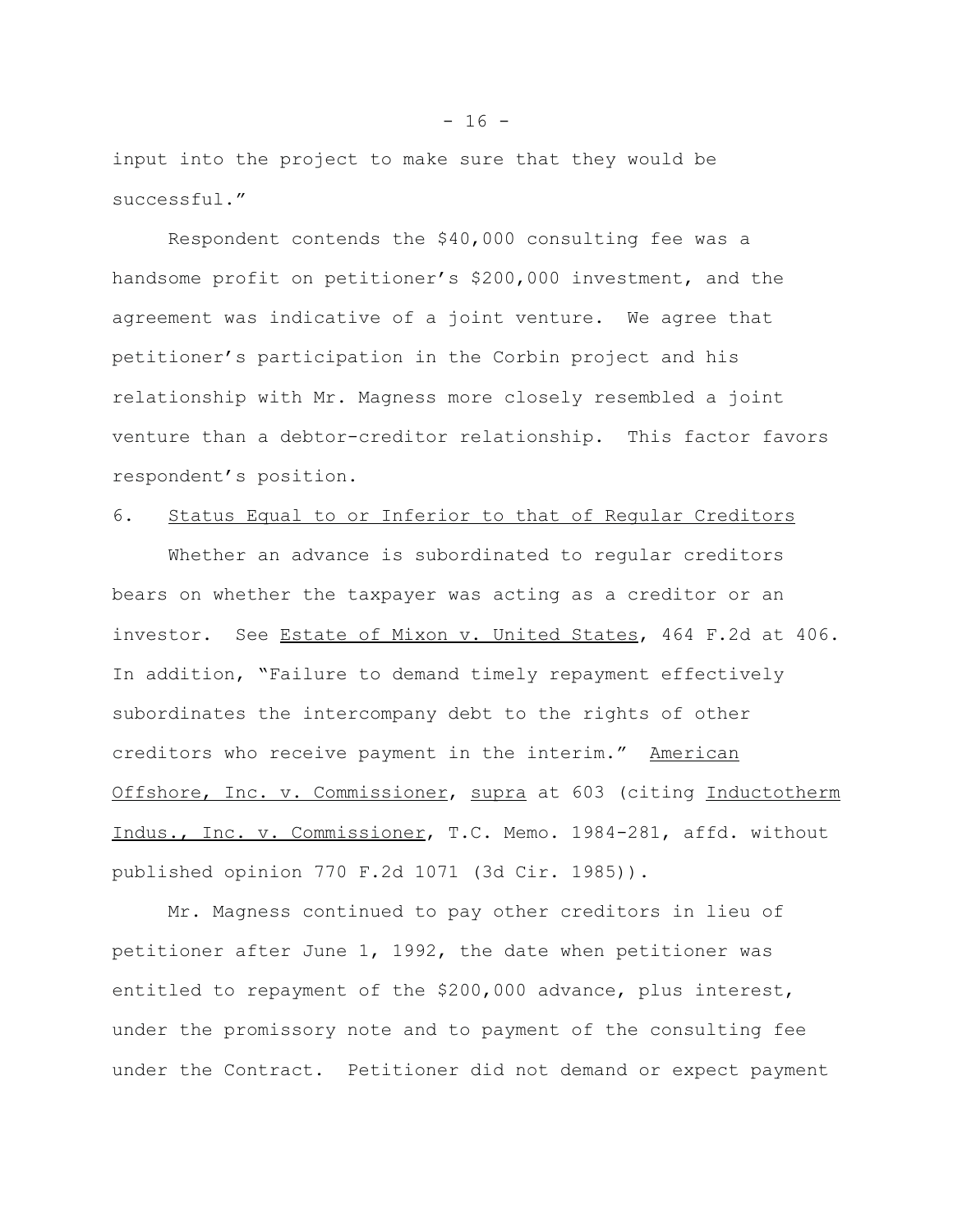input into the project to make sure that they would be successful."

Respondent contends the \$40,000 consulting fee was a handsome profit on petitioner's \$200,000 investment, and the agreement was indicative of a joint venture. We agree that petitioner's participation in the Corbin project and his relationship with Mr. Magness more closely resembled a joint venture than a debtor-creditor relationship. This factor favors respondent's position.

### 6. Status Equal to or Inferior to that of Regular Creditors

Whether an advance is subordinated to regular creditors bears on whether the taxpayer was acting as a creditor or an investor. See Estate of Mixon v. United States, 464 F.2d at 406. In addition, "Failure to demand timely repayment effectively subordinates the intercompany debt to the rights of other creditors who receive payment in the interim." American Offshore, Inc. v. Commissioner, supra at 603 (citing Inductotherm Indus., Inc. v. Commissioner, T.C. Memo. 1984-281, affd. without published opinion 770 F.2d 1071 (3d Cir. 1985)).

Mr. Magness continued to pay other creditors in lieu of petitioner after June 1, 1992, the date when petitioner was entitled to repayment of the \$200,000 advance, plus interest, under the promissory note and to payment of the consulting fee under the Contract. Petitioner did not demand or expect payment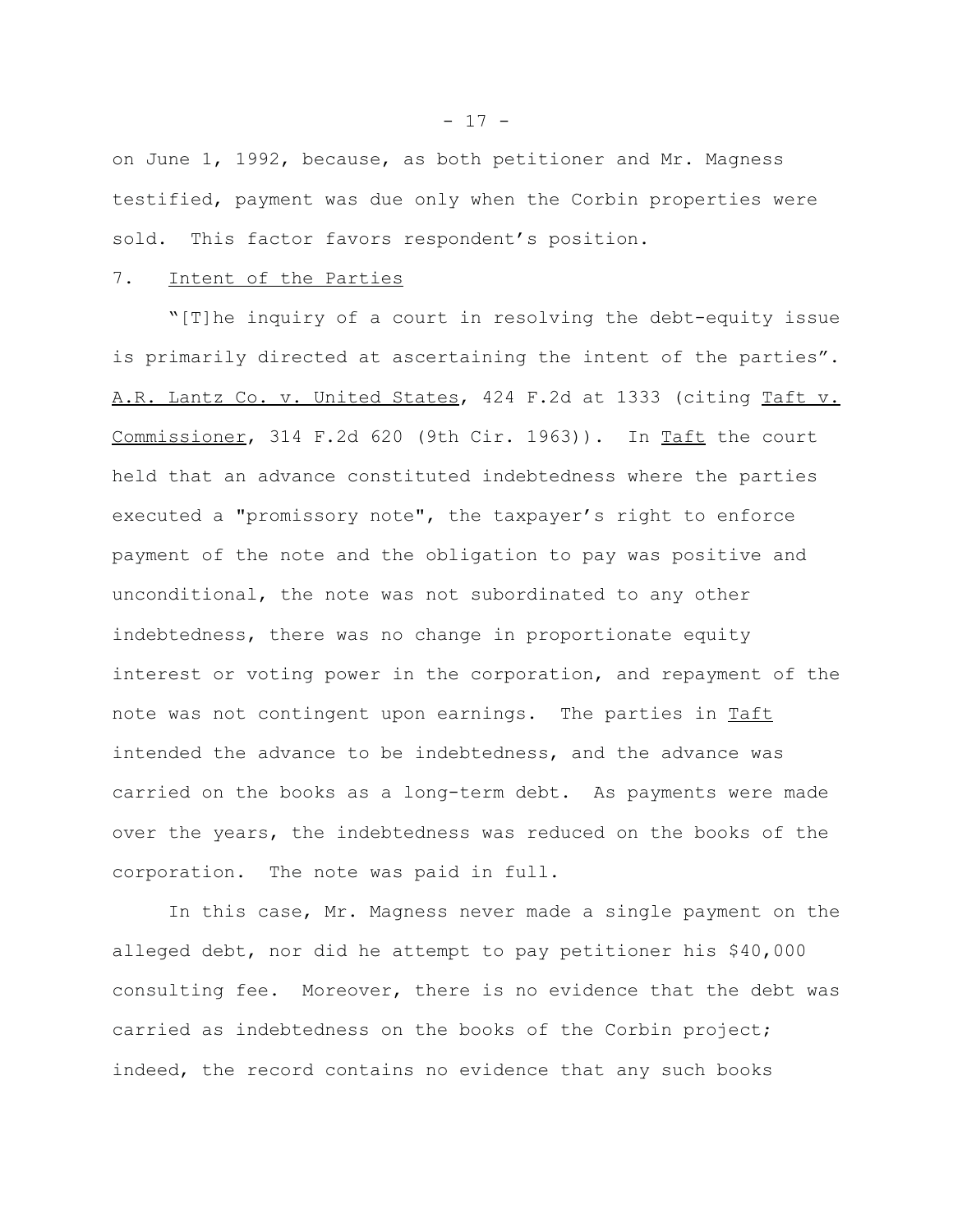on June 1, 1992, because, as both petitioner and Mr. Magness testified, payment was due only when the Corbin properties were sold. This factor favors respondent's position.

### 7. Intent of the Parties

"[T]he inquiry of a court in resolving the debt-equity issue is primarily directed at ascertaining the intent of the parties". A.R. Lantz Co. v. United States, 424 F.2d at 1333 (citing Taft v. Commissioner, 314 F.2d 620 (9th Cir. 1963)). In Taft the court held that an advance constituted indebtedness where the parties executed a "promissory note", the taxpayer's right to enforce payment of the note and the obligation to pay was positive and unconditional, the note was not subordinated to any other indebtedness, there was no change in proportionate equity interest or voting power in the corporation, and repayment of the note was not contingent upon earnings. The parties in Taft intended the advance to be indebtedness, and the advance was carried on the books as a long-term debt. As payments were made over the years, the indebtedness was reduced on the books of the corporation. The note was paid in full.

In this case, Mr. Magness never made a single payment on the alleged debt, nor did he attempt to pay petitioner his \$40,000 consulting fee. Moreover, there is no evidence that the debt was carried as indebtedness on the books of the Corbin project; indeed, the record contains no evidence that any such books

 $- 17 -$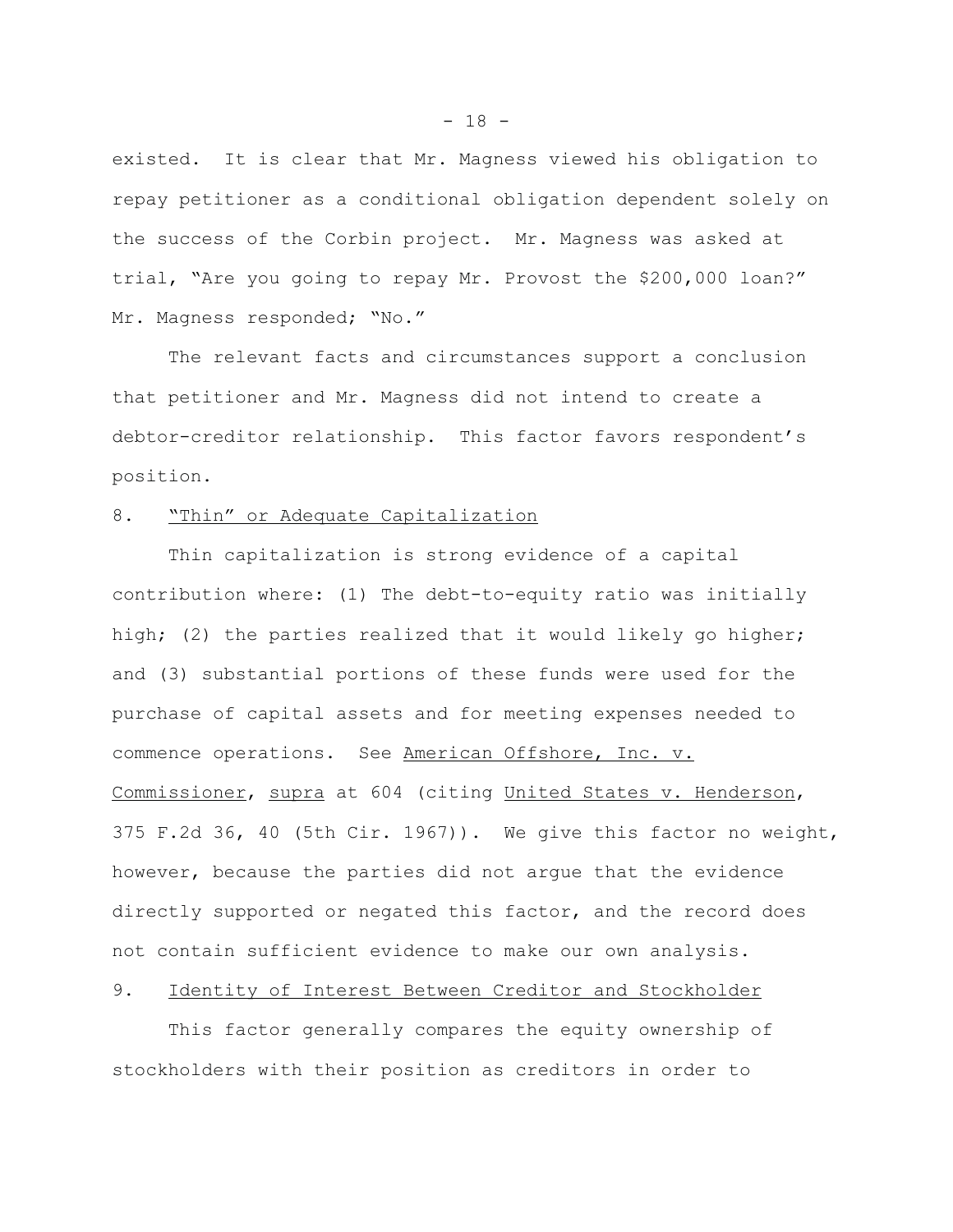existed. It is clear that Mr. Magness viewed his obligation to repay petitioner as a conditional obligation dependent solely on the success of the Corbin project. Mr. Magness was asked at trial, "Are you going to repay Mr. Provost the \$200,000 loan?" Mr. Magness responded; "No."

The relevant facts and circumstances support a conclusion that petitioner and Mr. Magness did not intend to create a debtor-creditor relationship. This factor favors respondent's position.

## 8. "Thin" or Adequate Capitalization

Thin capitalization is strong evidence of a capital contribution where: (1) The debt-to-equity ratio was initially high; (2) the parties realized that it would likely go higher; and (3) substantial portions of these funds were used for the purchase of capital assets and for meeting expenses needed to commence operations. See American Offshore, Inc. v. Commissioner, supra at 604 (citing United States v. Henderson, 375 F.2d 36, 40 (5th Cir. 1967)). We give this factor no weight, however, because the parties did not argue that the evidence directly supported or negated this factor, and the record does not contain sufficient evidence to make our own analysis.

### 9. Identity of Interest Between Creditor and Stockholder

This factor generally compares the equity ownership of stockholders with their position as creditors in order to

 $- 18 -$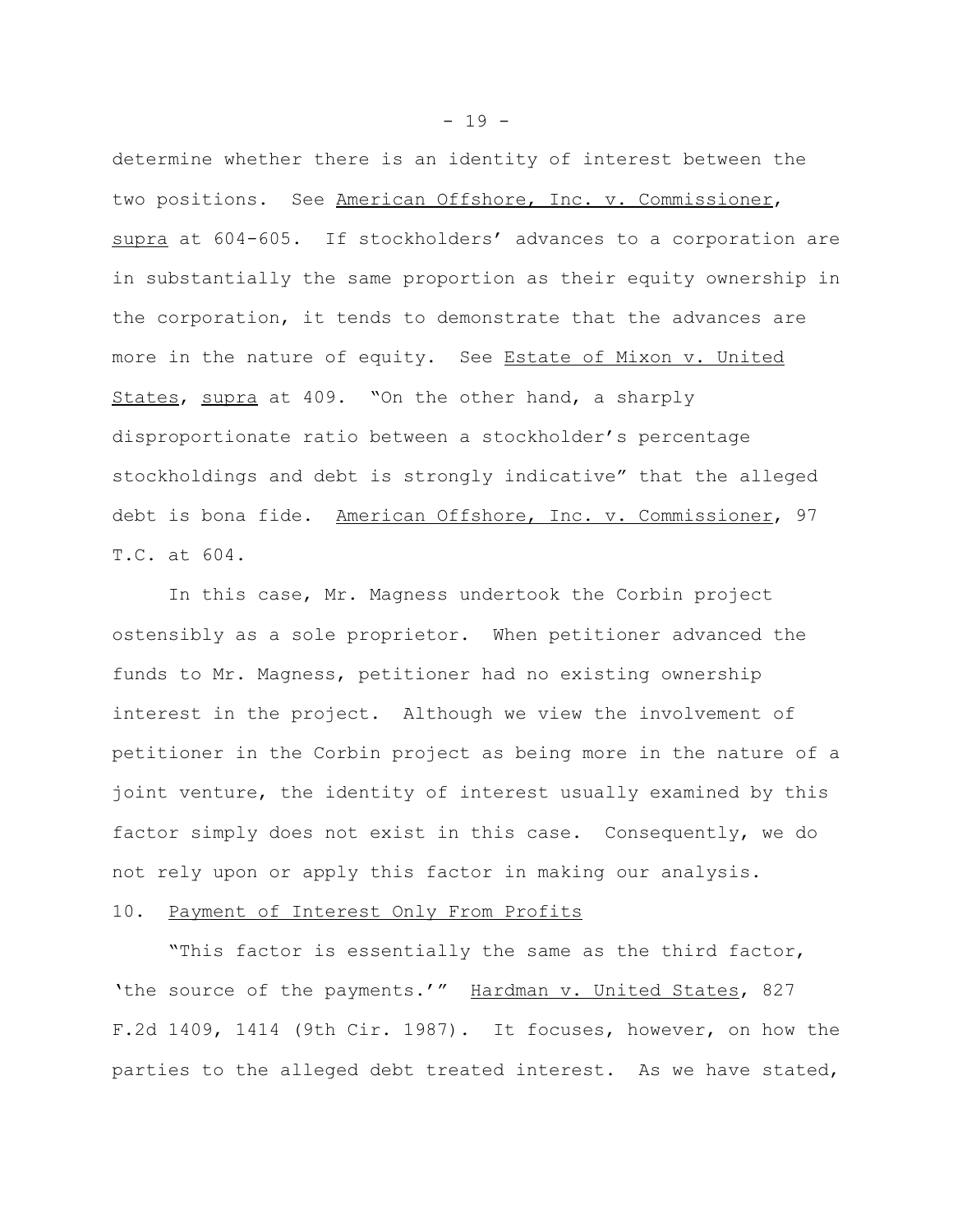determine whether there is an identity of interest between the two positions. See American Offshore, Inc. v. Commissioner, supra at 604-605. If stockholders' advances to a corporation are in substantially the same proportion as their equity ownership in the corporation, it tends to demonstrate that the advances are more in the nature of equity. See Estate of Mixon v. United States, supra at 409. "On the other hand, a sharply disproportionate ratio between a stockholder's percentage stockholdings and debt is strongly indicative" that the alleged debt is bona fide. American Offshore, Inc. v. Commissioner, 97 T.C. at 604.

In this case, Mr. Magness undertook the Corbin project ostensibly as a sole proprietor. When petitioner advanced the funds to Mr. Magness, petitioner had no existing ownership interest in the project. Although we view the involvement of petitioner in the Corbin project as being more in the nature of a joint venture, the identity of interest usually examined by this factor simply does not exist in this case. Consequently, we do not rely upon or apply this factor in making our analysis.

#### 10. Payment of Interest Only From Profits

"This factor is essentially the same as the third factor, 'the source of the payments.'" Hardman v. United States, 827 F.2d 1409, 1414 (9th Cir. 1987). It focuses, however, on how the parties to the alleged debt treated interest. As we have stated,

 $- 19 -$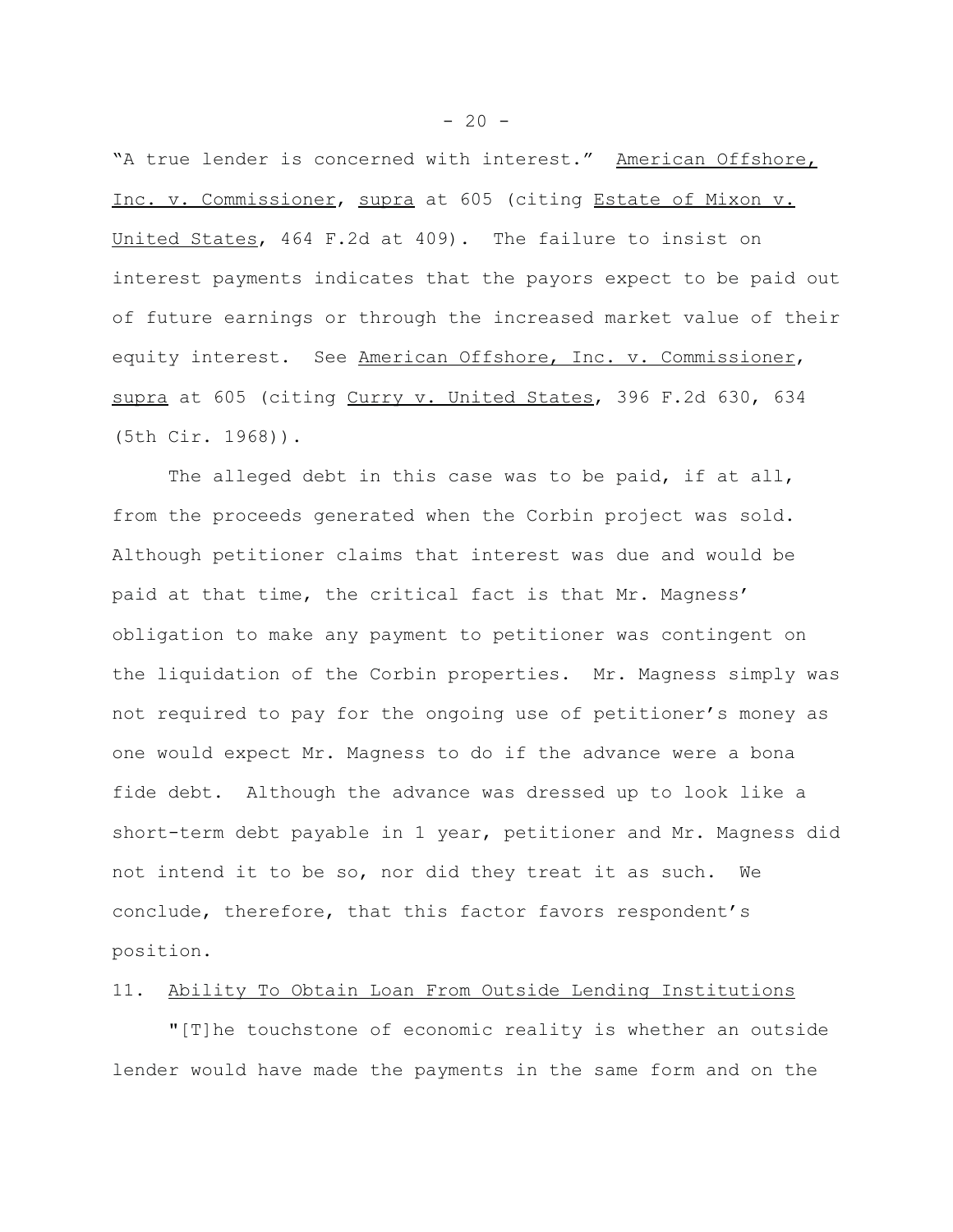"A true lender is concerned with interest." American Offshore, Inc. v. Commissioner, supra at 605 (citing Estate of Mixon v. United States, 464 F.2d at 409). The failure to insist on interest payments indicates that the payors expect to be paid out of future earnings or through the increased market value of their equity interest. See American Offshore, Inc. v. Commissioner, supra at 605 (citing Curry v. United States, 396 F.2d 630, 634 (5th Cir. 1968)).

The alleged debt in this case was to be paid, if at all, from the proceeds generated when the Corbin project was sold. Although petitioner claims that interest was due and would be paid at that time, the critical fact is that Mr. Magness' obligation to make any payment to petitioner was contingent on the liquidation of the Corbin properties. Mr. Magness simply was not required to pay for the ongoing use of petitioner's money as one would expect Mr. Magness to do if the advance were a bona fide debt. Although the advance was dressed up to look like a short-term debt payable in 1 year, petitioner and Mr. Magness did not intend it to be so, nor did they treat it as such. We conclude, therefore, that this factor favors respondent's position.

## 11. Ability To Obtain Loan From Outside Lending Institutions

"[T]he touchstone of economic reality is whether an outside lender would have made the payments in the same form and on the

 $-20 -$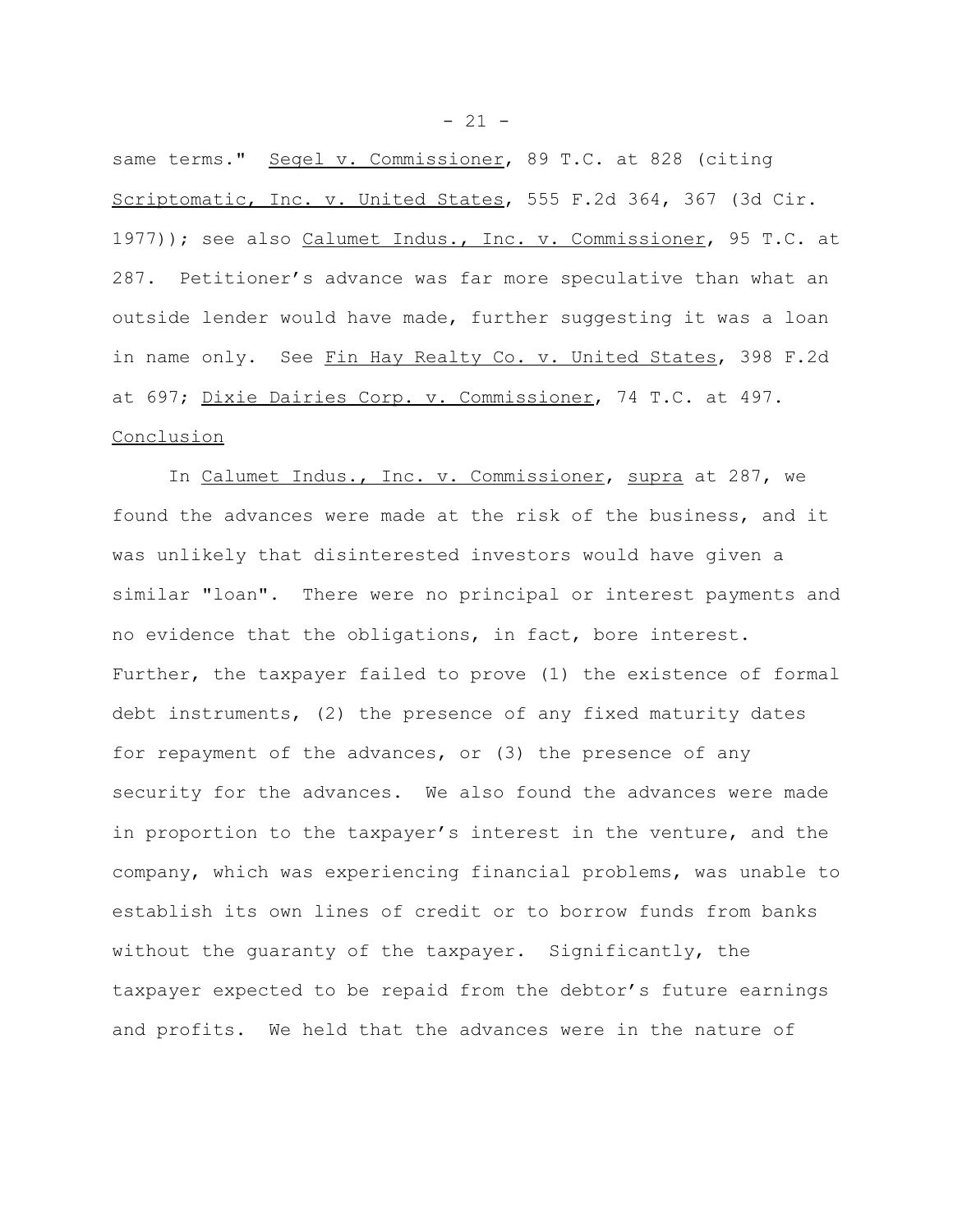same terms." Segel v. Commissioner, 89 T.C. at 828 (citing Scriptomatic, Inc. v. United States, 555 F.2d 364, 367 (3d Cir. 1977)); see also Calumet Indus., Inc. v. Commissioner, 95 T.C. at 287. Petitioner's advance was far more speculative than what an outside lender would have made, further suggesting it was a loan in name only. See Fin Hay Realty Co. v. United States, 398 F.2d at 697; Dixie Dairies Corp. v. Commissioner, 74 T.C. at 497. Conclusion

In Calumet Indus., Inc. v. Commissioner, supra at 287, we found the advances were made at the risk of the business, and it was unlikely that disinterested investors would have given a similar "loan". There were no principal or interest payments and no evidence that the obligations, in fact, bore interest. Further, the taxpayer failed to prove (1) the existence of formal debt instruments, (2) the presence of any fixed maturity dates for repayment of the advances, or (3) the presence of any security for the advances. We also found the advances were made in proportion to the taxpayer's interest in the venture, and the company, which was experiencing financial problems, was unable to establish its own lines of credit or to borrow funds from banks without the guaranty of the taxpayer. Significantly, the taxpayer expected to be repaid from the debtor's future earnings and profits. We held that the advances were in the nature of

 $- 21 -$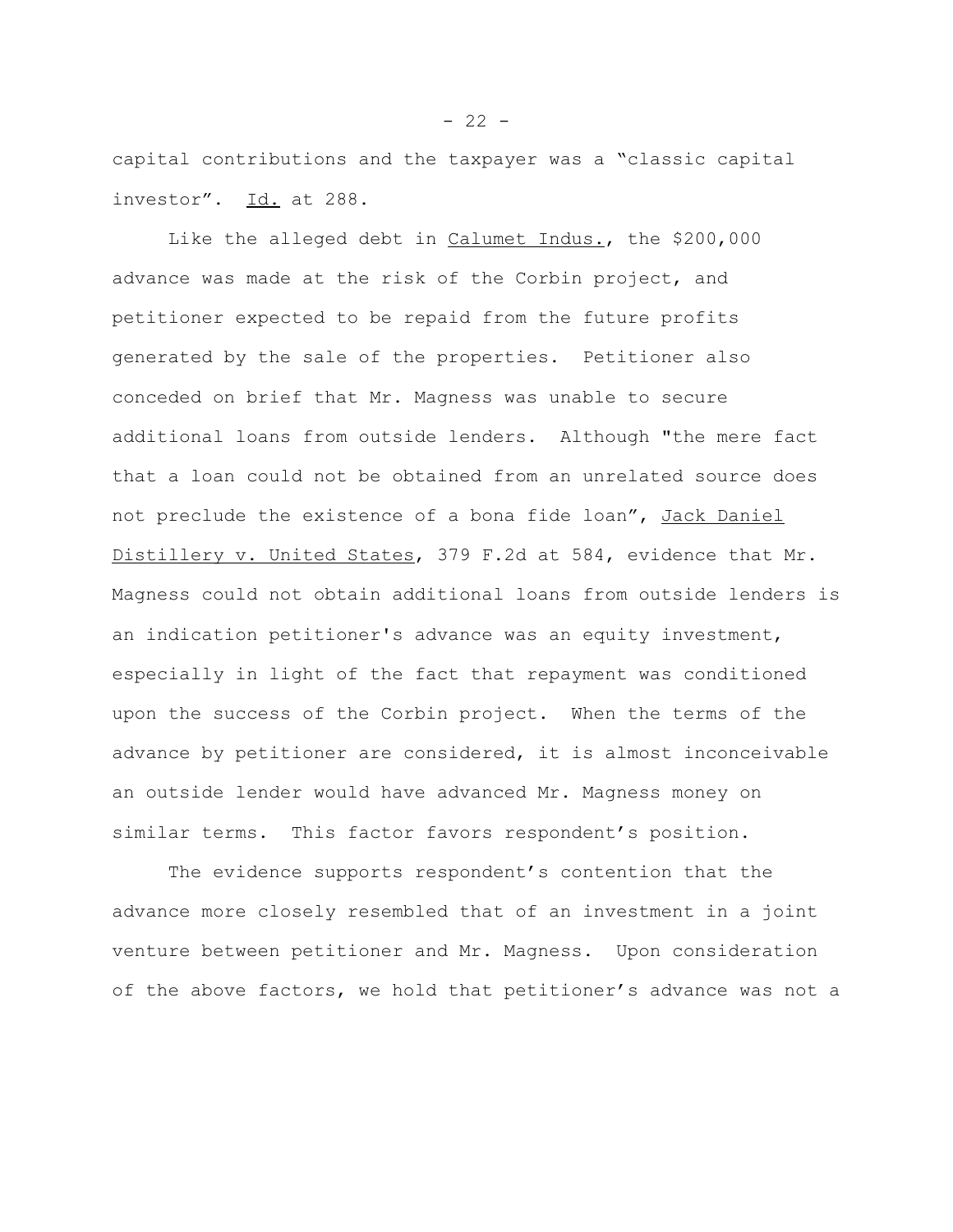capital contributions and the taxpayer was a "classic capital investor". Id. at 288.

Like the alleged debt in Calumet Indus., the \$200,000 advance was made at the risk of the Corbin project, and petitioner expected to be repaid from the future profits generated by the sale of the properties. Petitioner also conceded on brief that Mr. Magness was unable to secure additional loans from outside lenders. Although "the mere fact that a loan could not be obtained from an unrelated source does not preclude the existence of a bona fide loan", Jack Daniel Distillery v. United States, 379 F.2d at 584, evidence that Mr. Magness could not obtain additional loans from outside lenders is an indication petitioner's advance was an equity investment, especially in light of the fact that repayment was conditioned upon the success of the Corbin project. When the terms of the advance by petitioner are considered, it is almost inconceivable an outside lender would have advanced Mr. Magness money on similar terms. This factor favors respondent's position.

The evidence supports respondent's contention that the advance more closely resembled that of an investment in a joint venture between petitioner and Mr. Magness. Upon consideration of the above factors, we hold that petitioner's advance was not a

 $- 22 -$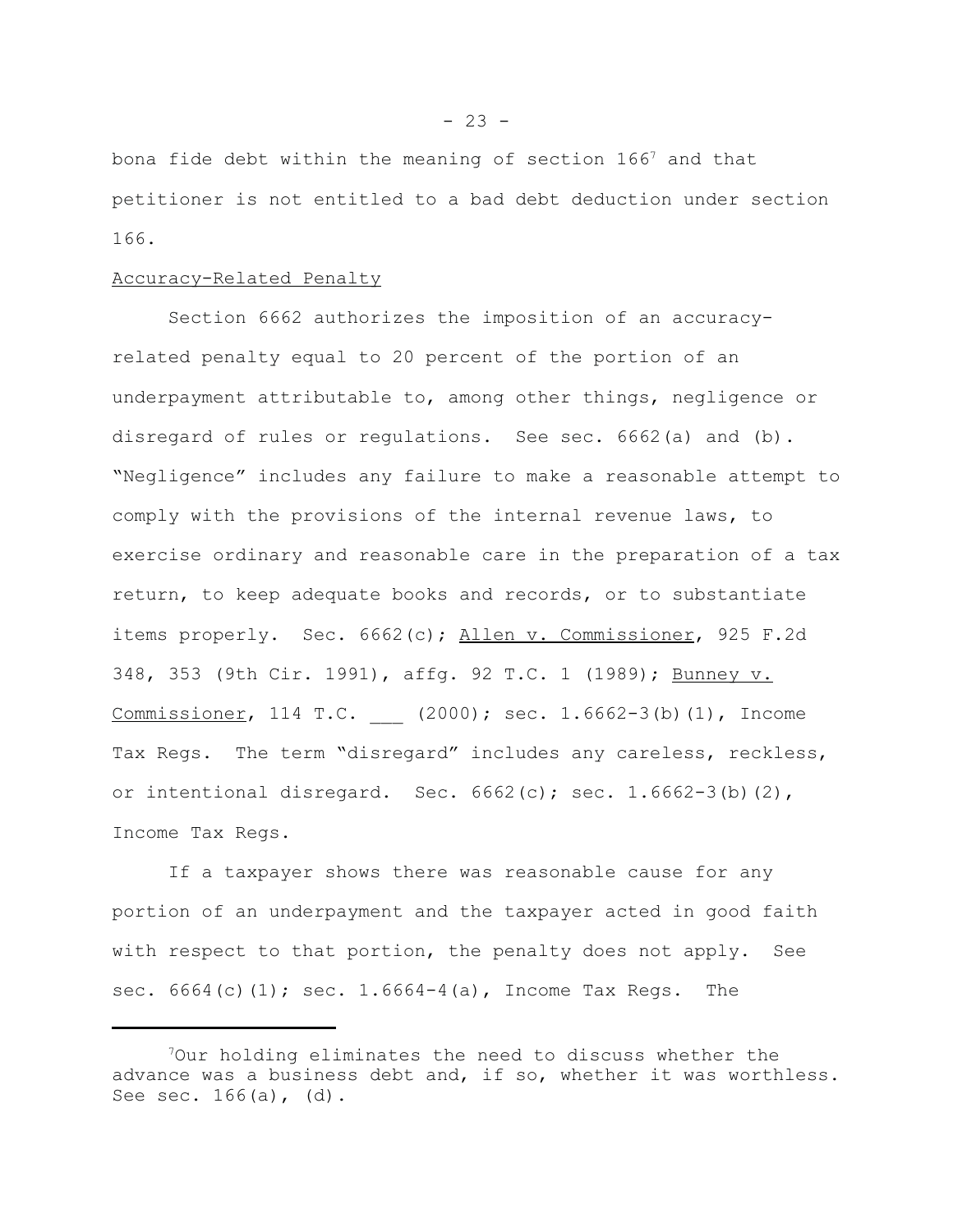bona fide debt within the meaning of section  $166^7$  and that petitioner is not entitled to a bad debt deduction under section 166.

### Accuracy-Related Penalty

Section 6662 authorizes the imposition of an accuracyrelated penalty equal to 20 percent of the portion of an underpayment attributable to, among other things, negligence or disregard of rules or regulations. See sec. 6662(a) and (b). "Negligence" includes any failure to make a reasonable attempt to comply with the provisions of the internal revenue laws, to exercise ordinary and reasonable care in the preparation of a tax return, to keep adequate books and records, or to substantiate items properly. Sec. 6662(c); Allen v. Commissioner, 925 F.2d 348, 353 (9th Cir. 1991), affg. 92 T.C. 1 (1989); Bunney v. Commissioner, 114 T.C. (2000); sec. 1.6662-3(b)(1), Income Tax Regs. The term "disregard" includes any careless, reckless, or intentional disregard. Sec.  $6662(c)$ ; sec.  $1.6662-3(b)(2)$ , Income Tax Regs.

If a taxpayer shows there was reasonable cause for any portion of an underpayment and the taxpayer acted in good faith with respect to that portion, the penalty does not apply. See sec.  $6664(c)(1)$ ; sec.  $1.6664-4(a)$ , Income Tax Regs. The

<sup>7</sup>Our holding eliminates the need to discuss whether the advance was a business debt and, if so, whether it was worthless. See sec. 166(a), (d).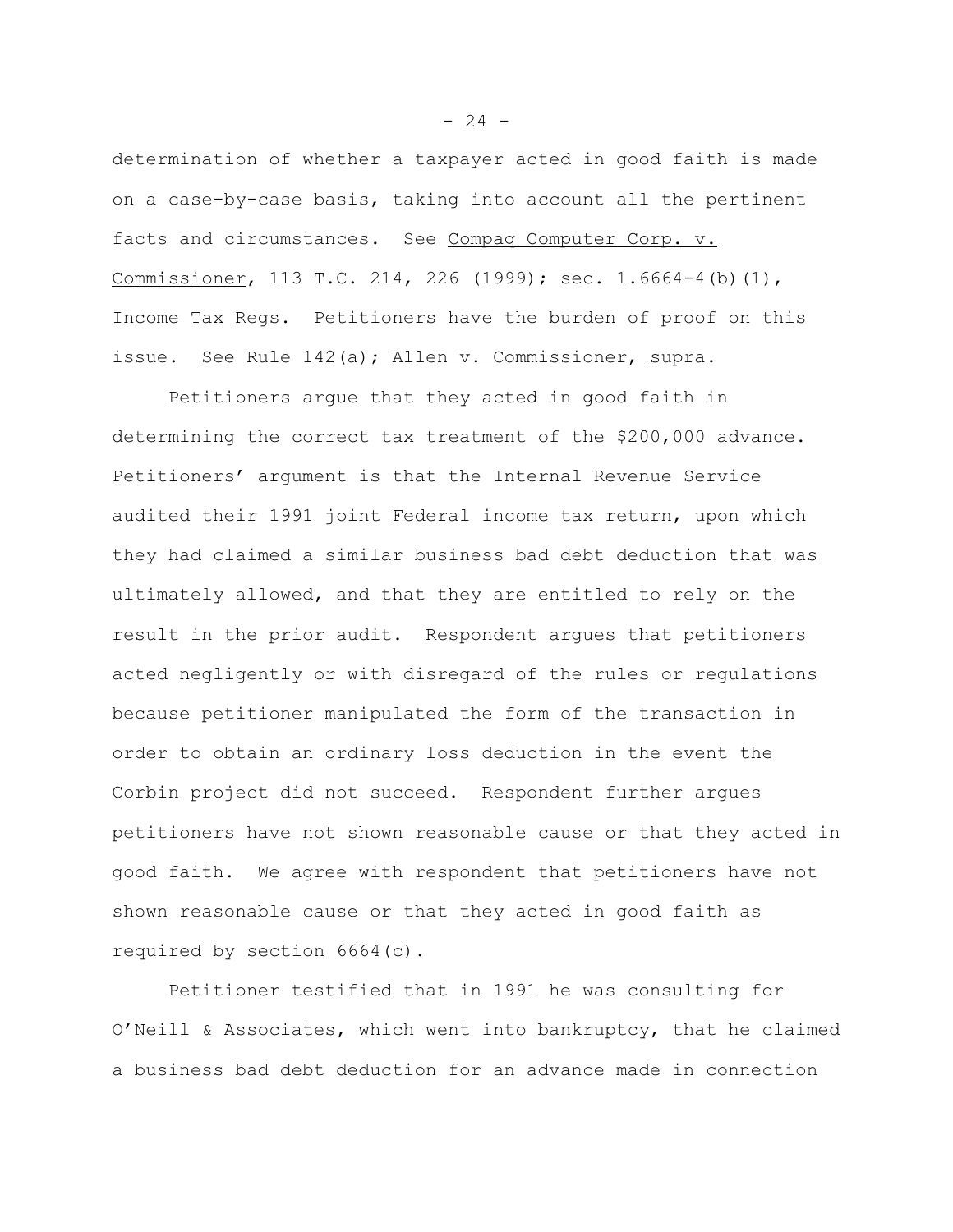determination of whether a taxpayer acted in good faith is made on a case-by-case basis, taking into account all the pertinent facts and circumstances. See Compaq Computer Corp. v. Commissioner, 113 T.C. 214, 226 (1999); sec. 1.6664-4(b)(1), Income Tax Regs. Petitioners have the burden of proof on this issue. See Rule 142(a); Allen v. Commissioner, supra.

Petitioners argue that they acted in good faith in determining the correct tax treatment of the \$200,000 advance. Petitioners' argument is that the Internal Revenue Service audited their 1991 joint Federal income tax return, upon which they had claimed a similar business bad debt deduction that was ultimately allowed, and that they are entitled to rely on the result in the prior audit. Respondent argues that petitioners acted negligently or with disregard of the rules or regulations because petitioner manipulated the form of the transaction in order to obtain an ordinary loss deduction in the event the Corbin project did not succeed. Respondent further argues petitioners have not shown reasonable cause or that they acted in good faith. We agree with respondent that petitioners have not shown reasonable cause or that they acted in good faith as required by section 6664(c).

Petitioner testified that in 1991 he was consulting for O'Neill & Associates, which went into bankruptcy, that he claimed a business bad debt deduction for an advance made in connection